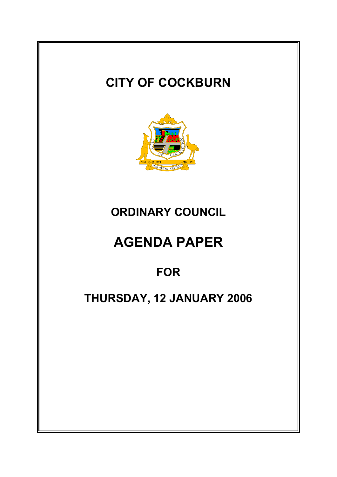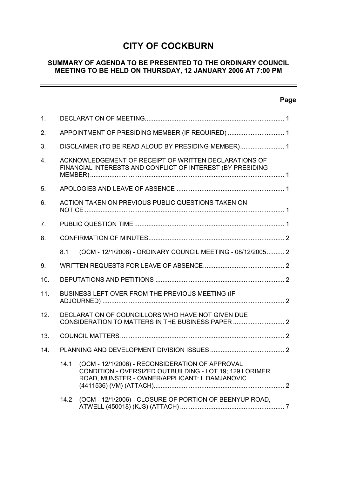# **CITY OF COCKBURN**

# **SUMMARY OF AGENDA TO BE PRESENTED TO THE ORDINARY COUNCIL MEETING TO BE HELD ON THURSDAY, 12 JANUARY 2006 AT 7:00 PM**

# **Page**

 $\equiv$ 

| 1.             |                                                                                                                     |                                                                                                                                                             |  |  |
|----------------|---------------------------------------------------------------------------------------------------------------------|-------------------------------------------------------------------------------------------------------------------------------------------------------------|--|--|
| 2.             | APPOINTMENT OF PRESIDING MEMBER (IF REQUIRED)  1                                                                    |                                                                                                                                                             |  |  |
| 3.             | DISCLAIMER (TO BE READ ALOUD BY PRESIDING MEMBER) 1                                                                 |                                                                                                                                                             |  |  |
| $\mathbf{4}$ . | ACKNOWLEDGEMENT OF RECEIPT OF WRITTEN DECLARATIONS OF<br>FINANCIAL INTERESTS AND CONFLICT OF INTEREST (BY PRESIDING |                                                                                                                                                             |  |  |
| 5.             |                                                                                                                     |                                                                                                                                                             |  |  |
| 6.             |                                                                                                                     | ACTION TAKEN ON PREVIOUS PUBLIC QUESTIONS TAKEN ON                                                                                                          |  |  |
| 7.             |                                                                                                                     |                                                                                                                                                             |  |  |
| 8.             |                                                                                                                     |                                                                                                                                                             |  |  |
|                | 8.1                                                                                                                 | (OCM - 12/1/2006) - ORDINARY COUNCIL MEETING - 08/12/2005 2                                                                                                 |  |  |
| 9.             |                                                                                                                     |                                                                                                                                                             |  |  |
| 10.            |                                                                                                                     |                                                                                                                                                             |  |  |
| 11.            | BUSINESS LEFT OVER FROM THE PREVIOUS MEETING (IF                                                                    |                                                                                                                                                             |  |  |
| 12.            | DECLARATION OF COUNCILLORS WHO HAVE NOT GIVEN DUE                                                                   |                                                                                                                                                             |  |  |
| 13.            |                                                                                                                     |                                                                                                                                                             |  |  |
| 14.            |                                                                                                                     |                                                                                                                                                             |  |  |
|                | 14.1                                                                                                                | (OCM - 12/1/2006) - RECONSIDERATION OF APPROVAL<br>CONDITION - OVERSIZED OUTBUILDING - LOT 19; 129 LORIMER<br>ROAD, MUNSTER - OWNER/APPLICANT: L DAMJANOVIC |  |  |
|                | 14.2                                                                                                                | (OCM - 12/1/2006) - CLOSURE OF PORTION OF BEENYUP ROAD,                                                                                                     |  |  |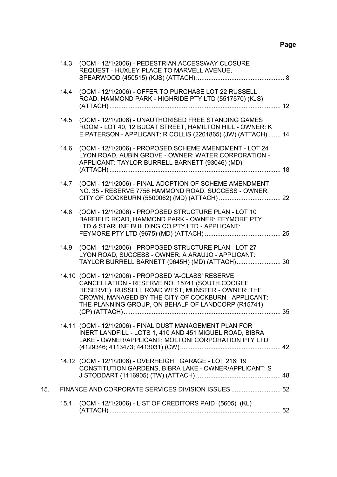# **Page**

|     | 14.3 | (OCM - 12/1/2006) - PEDESTRIAN ACCESSWAY CLOSURE<br>REQUEST - HUXLEY PLACE TO MARVELL AVENUE,                                                                                                                                                                                              |    |
|-----|------|--------------------------------------------------------------------------------------------------------------------------------------------------------------------------------------------------------------------------------------------------------------------------------------------|----|
|     | 14.4 | (OCM - 12/1/2006) - OFFER TO PURCHASE LOT 22 RUSSELL<br>ROAD, HAMMOND PARK - HIGHRIDE PTY LTD (5517570) (KJS)                                                                                                                                                                              |    |
|     | 14.5 | (OCM - 12/1/2006) - UNAUTHORISED FREE STANDING GAMES<br>ROOM - LOT 40, 12 BUCAT STREET, HAMILTON HILL - OWNER: K<br>E PATERSON - APPLICANT: R COLLIS (2201865) (JW) (ATTACH)  14                                                                                                           |    |
|     | 14.6 | (OCM - 12/1/2006) - PROPOSED SCHEME AMENDMENT - LOT 24<br>LYON ROAD, AUBIN GROVE - OWNER: WATER CORPORATION -<br>APPLICANT: TAYLOR BURRELL BARNETT (93046) (MD)                                                                                                                            | 18 |
|     | 14.7 | (OCM - 12/1/2006) - FINAL ADOPTION OF SCHEME AMENDMENT<br>NO. 35 - RESERVE 7756 HAMMOND ROAD, SUCCESS - OWNER:                                                                                                                                                                             |    |
|     | 14.8 | (OCM - 12/1/2006) - PROPOSED STRUCTURE PLAN - LOT 10<br>BARFIELD ROAD, HAMMOND PARK - OWNER: FEYMORE PTY<br>LTD & STARLINE BUILDING CO PTY LTD - APPLICANT:                                                                                                                                |    |
|     | 14.9 | (OCM - 12/1/2006) - PROPOSED STRUCTURE PLAN - LOT 27<br>LYON ROAD, SUCCESS - OWNER: A ARAUJO - APPLICANT:<br>TAYLOR BURRELL BARNETT (9645H) (MD) (ATTACH) 30                                                                                                                               |    |
|     |      | 14.10 (OCM - 12/1/2006) - PROPOSED 'A-CLASS' RESERVE<br>CANCELLATION - RESERVE NO. 15741 (SOUTH COOGEE<br>RESERVE), RUSSELL ROAD WEST, MUNSTER - OWNER: THE<br>CROWN, MANAGED BY THE CITY OF COCKBURN - APPLICANT:<br>THE PLANNING GROUP, ON BEHALF OF LANDCORP (R15741)<br>(CP) (ATTACH). | 35 |
|     |      | 14.11 (OCM - 12/1/2006) - FINAL DUST MANAGEMENT PLAN FOR<br>INERT LANDFILL - LOTS 1, 410 AND 451 MIGUEL ROAD, BIBRA<br>LAKE - OWNER/APPLICANT: MOLTONI CORPORATION PTY LTD                                                                                                                 |    |
|     |      | 14.12 (OCM - 12/1/2006) - OVERHEIGHT GARAGE - LOT 216; 19<br>CONSTITUTION GARDENS, BIBRA LAKE - OWNER/APPLICANT: S                                                                                                                                                                         |    |
| 15. |      | FINANCE AND CORPORATE SERVICES DIVISION ISSUES  52                                                                                                                                                                                                                                         |    |
|     | 15.1 | (OCM - 12/1/2006) - LIST OF CREDITORS PAID (5605) (KL)                                                                                                                                                                                                                                     |    |
|     |      |                                                                                                                                                                                                                                                                                            |    |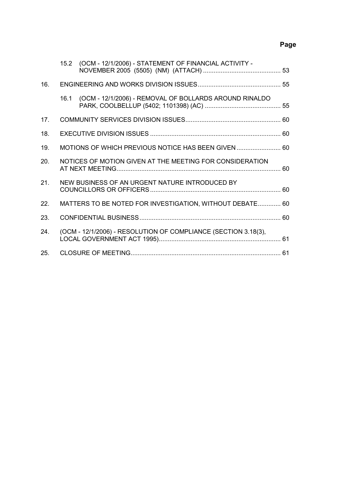# **Page**

|     | 15.2 (OCM - 12/1/2006) - STATEMENT OF FINANCIAL ACTIVITY -     |  |
|-----|----------------------------------------------------------------|--|
| 16. |                                                                |  |
|     | 16.1 (OCM - 12/1/2006) - REMOVAL OF BOLLARDS AROUND RINALDO    |  |
| 17. |                                                                |  |
| 18. |                                                                |  |
| 19. | MOTIONS OF WHICH PREVIOUS NOTICE HAS BEEN GIVEN  60            |  |
| 20. | NOTICES OF MOTION GIVEN AT THE MEETING FOR CONSIDERATION       |  |
| 21. | NEW BUSINESS OF AN URGENT NATURE INTRODUCED BY                 |  |
| 22. | MATTERS TO BE NOTED FOR INVESTIGATION, WITHOUT DEBATE 60       |  |
| 23. |                                                                |  |
| 24. | (OCM - 12/1/2006) - RESOLUTION OF COMPLIANCE (SECTION 3.18(3), |  |
| 25. |                                                                |  |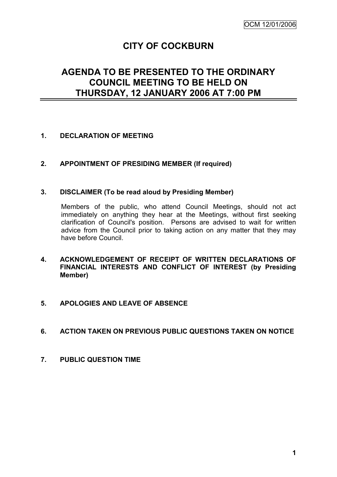# **CITY OF COCKBURN**

# **AGENDA TO BE PRESENTED TO THE ORDINARY COUNCIL MEETING TO BE HELD ON THURSDAY, 12 JANUARY 2006 AT 7:00 PM**

# **1. DECLARATION OF MEETING**

# **2. APPOINTMENT OF PRESIDING MEMBER (If required)**

## **3. DISCLAIMER (To be read aloud by Presiding Member)**

Members of the public, who attend Council Meetings, should not act immediately on anything they hear at the Meetings, without first seeking clarification of Council's position. Persons are advised to wait for written advice from the Council prior to taking action on any matter that they may have before Council.

# **4. ACKNOWLEDGEMENT OF RECEIPT OF WRITTEN DECLARATIONS OF FINANCIAL INTERESTS AND CONFLICT OF INTEREST (by Presiding Member)**

## **5. APOLOGIES AND LEAVE OF ABSENCE**

# **6. ACTION TAKEN ON PREVIOUS PUBLIC QUESTIONS TAKEN ON NOTICE**

**7. PUBLIC QUESTION TIME**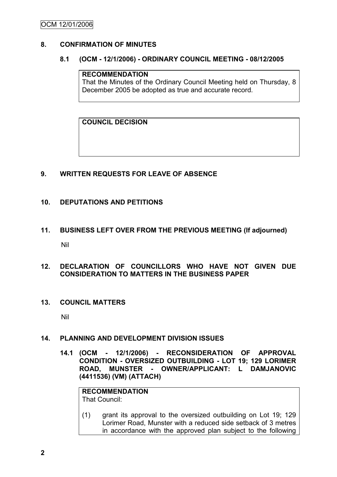# **8. CONFIRMATION OF MINUTES**

## **8.1 (OCM - 12/1/2006) - ORDINARY COUNCIL MEETING - 08/12/2005**

## **RECOMMENDATION**

That the Minutes of the Ordinary Council Meeting held on Thursday, 8 December 2005 be adopted as true and accurate record.

**COUNCIL DECISION**

# **9. WRITTEN REQUESTS FOR LEAVE OF ABSENCE**

# **10. DEPUTATIONS AND PETITIONS**

**11. BUSINESS LEFT OVER FROM THE PREVIOUS MEETING (If adjourned)** Nil

## **12. DECLARATION OF COUNCILLORS WHO HAVE NOT GIVEN DUE CONSIDERATION TO MATTERS IN THE BUSINESS PAPER**

**13. COUNCIL MATTERS**

Nil

## **14. PLANNING AND DEVELOPMENT DIVISION ISSUES**

**14.1 (OCM - 12/1/2006) - RECONSIDERATION OF APPROVAL CONDITION - OVERSIZED OUTBUILDING - LOT 19; 129 LORIMER ROAD, MUNSTER - OWNER/APPLICANT: L DAMJANOVIC (4411536) (VM) (ATTACH)**

**RECOMMENDATION** That Council:

(1) grant its approval to the oversized outbuilding on Lot 19; 129 Lorimer Road, Munster with a reduced side setback of 3 metres in accordance with the approved plan subject to the following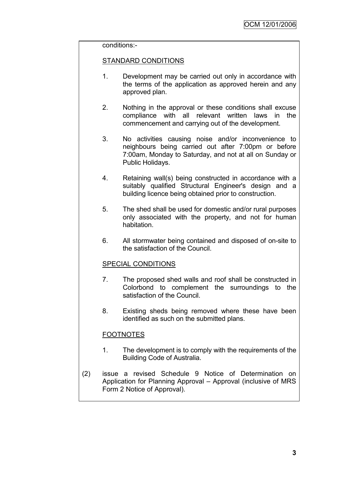#### conditions:-

## STANDARD CONDITIONS

- 1. Development may be carried out only in accordance with the terms of the application as approved herein and any approved plan.
- 2. Nothing in the approval or these conditions shall excuse compliance with all relevant written laws in the commencement and carrying out of the development.
- 3. No activities causing noise and/or inconvenience to neighbours being carried out after 7:00pm or before 7:00am, Monday to Saturday, and not at all on Sunday or Public Holidays.
- 4. Retaining wall(s) being constructed in accordance with a suitably qualified Structural Engineer's design and a building licence being obtained prior to construction.
- 5. The shed shall be used for domestic and/or rural purposes only associated with the property, and not for human habitation.
- 6. All stormwater being contained and disposed of on-site to the satisfaction of the Council.

## SPECIAL CONDITIONS

- 7. The proposed shed walls and roof shall be constructed in Colorbond to complement the surroundings to the satisfaction of the Council.
- 8. Existing sheds being removed where these have been identified as such on the submitted plans.

## **FOOTNOTES**

- 1. The development is to comply with the requirements of the Building Code of Australia.
- (2) issue a revised Schedule 9 Notice of Determination on Application for Planning Approval – Approval (inclusive of MRS Form 2 Notice of Approval).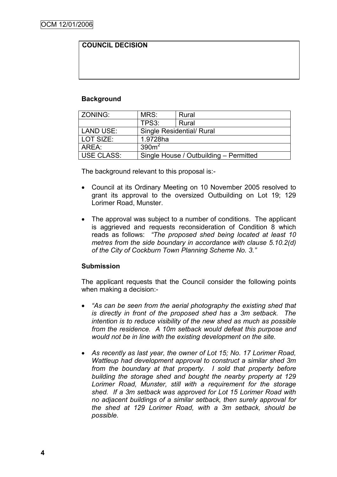# **COUNCIL DECISION**

# **Background**

| ZONING:           | MRS:                      | Rural                                  |  |
|-------------------|---------------------------|----------------------------------------|--|
|                   | TPS3:                     | Rural                                  |  |
| <b>LAND USE:</b>  | Single Residential/ Rural |                                        |  |
| LOT SIZE:         | 1.9728ha                  |                                        |  |
| AREA:             | 390 <sup>m²</sup>         |                                        |  |
| <b>USE CLASS:</b> |                           | Single House / Outbuilding - Permitted |  |

The background relevant to this proposal is:-

- Council at its Ordinary Meeting on 10 November 2005 resolved to grant its approval to the oversized Outbuilding on Lot 19; 129 Lorimer Road, Munster.
- The approval was subject to a number of conditions. The applicant is aggrieved and requests reconsideration of Condition 8 which reads as follows: *"The proposed shed being located at least 10 metres from the side boundary in accordance with clause 5.10.2(d) of the City of Cockburn Town Planning Scheme No. 3."*

## **Submission**

The applicant requests that the Council consider the following points when making a decision:-

- *"As can be seen from the aerial photography the existing shed that is directly in front of the proposed shed has a 3m setback. The intention is to reduce visibility of the new shed as much as possible from the residence. A 10m setback would defeat this purpose and would not be in line with the existing development on the site.*
- *As recently as last year, the owner of Lot 15; No. 17 Lorimer Road, Wattleup had development approval to construct a similar shed 3m from the boundary at that property. I sold that property before building the storage shed and bought the nearby property at 129 Lorimer Road, Munster, still with a requirement for the storage shed. If a 3m setback was approved for Lot 15 Lorimer Road with no adjacent buildings of a similar setback, then surely approval for the shed at 129 Lorimer Road, with a 3m setback, should be possible.*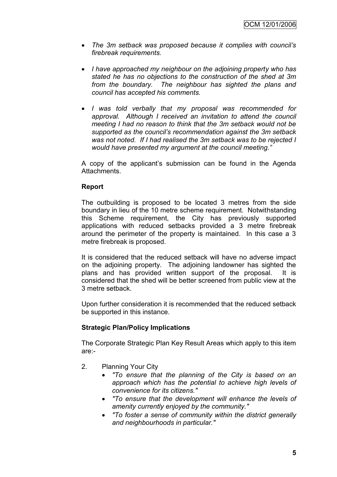- *The 3m setback was proposed because it complies with council"s firebreak requirements.*
- *I have approached my neighbour on the adjoining property who has stated he has no objections to the construction of the shed at 3m from the boundary. The neighbour has sighted the plans and council has accepted his comments.*
- *I was told verbally that my proposal was recommended for approval. Although I received an invitation to attend the council meeting I had no reason to think that the 3m setback would not be supported as the council"s recommendation against the 3m setback was not noted. If I had realised the 3m setback was to be rejected I would have presented my argument at the council meeting."*

A copy of the applicant"s submission can be found in the Agenda Attachments.

# **Report**

The outbuilding is proposed to be located 3 metres from the side boundary in lieu of the 10 metre scheme requirement. Notwithstanding this Scheme requirement, the City has previously supported applications with reduced setbacks provided a 3 metre firebreak around the perimeter of the property is maintained. In this case a 3 metre firebreak is proposed.

It is considered that the reduced setback will have no adverse impact on the adjoining property. The adjoining landowner has sighted the plans and has provided written support of the proposal. It is considered that the shed will be better screened from public view at the 3 metre setback.

Upon further consideration it is recommended that the reduced setback be supported in this instance.

# **Strategic Plan/Policy Implications**

The Corporate Strategic Plan Key Result Areas which apply to this item are:-

- 2. Planning Your City
	- *"To ensure that the planning of the City is based on an approach which has the potential to achieve high levels of convenience for its citizens."*
	- *"To ensure that the development will enhance the levels of amenity currently enjoyed by the community."*
	- *"To foster a sense of community within the district generally and neighbourhoods in particular."*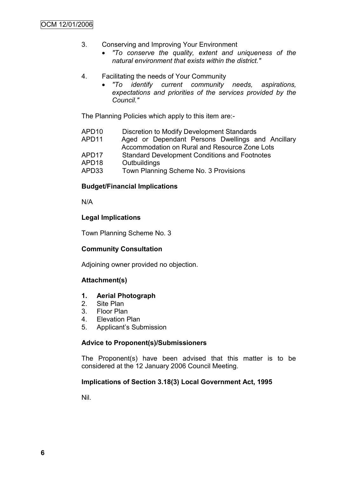- 3. Conserving and Improving Your Environment
	- *"To conserve the quality, extent and uniqueness of the natural environment that exists within the district."*
- 4. Facilitating the needs of Your Community
	- *"To identify current community needs, aspirations, expectations and priorities of the services provided by the Council."*

The Planning Policies which apply to this item are:-

- APD10 Discretion to Modify Development Standards
- APD11 Aged or Dependant Persons Dwellings and Ancillary Accommodation on Rural and Resource Zone Lots
- APD17 Standard Development Conditions and Footnotes
- APD18 Outbuildings
- APD33 Town Planning Scheme No. 3 Provisions

# **Budget/Financial Implications**

N/A

# **Legal Implications**

Town Planning Scheme No. 3

# **Community Consultation**

Adjoining owner provided no objection.

# **Attachment(s)**

## **1. Aerial Photograph**

- 2. Site Plan
- 3. Floor Plan
- 4. Elevation Plan
- 5. Applicant"s Submission

## **Advice to Proponent(s)/Submissioners**

The Proponent(s) have been advised that this matter is to be considered at the 12 January 2006 Council Meeting.

## **Implications of Section 3.18(3) Local Government Act, 1995**

Nil.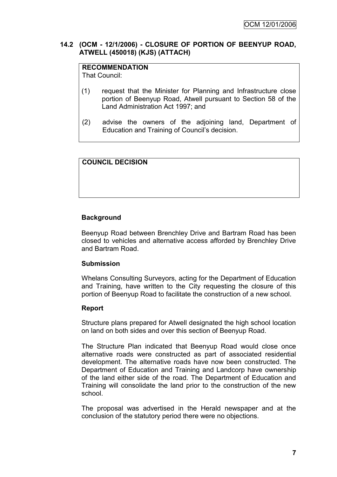# **14.2 (OCM - 12/1/2006) - CLOSURE OF PORTION OF BEENYUP ROAD, ATWELL (450018) (KJS) (ATTACH)**

# **RECOMMENDATION**

That Council:

- (1) request that the Minister for Planning and Infrastructure close portion of Beenyup Road, Atwell pursuant to Section 58 of the Land Administration Act 1997; and
- (2) advise the owners of the adjoining land, Department of Education and Training of Council"s decision.

# **COUNCIL DECISION**

# **Background**

Beenyup Road between Brenchley Drive and Bartram Road has been closed to vehicles and alternative access afforded by Brenchley Drive and Bartram Road.

## **Submission**

Whelans Consulting Surveyors, acting for the Department of Education and Training, have written to the City requesting the closure of this portion of Beenyup Road to facilitate the construction of a new school.

## **Report**

Structure plans prepared for Atwell designated the high school location on land on both sides and over this section of Beenyup Road.

The Structure Plan indicated that Beenyup Road would close once alternative roads were constructed as part of associated residential development. The alternative roads have now been constructed. The Department of Education and Training and Landcorp have ownership of the land either side of the road. The Department of Education and Training will consolidate the land prior to the construction of the new school.

The proposal was advertised in the Herald newspaper and at the conclusion of the statutory period there were no objections.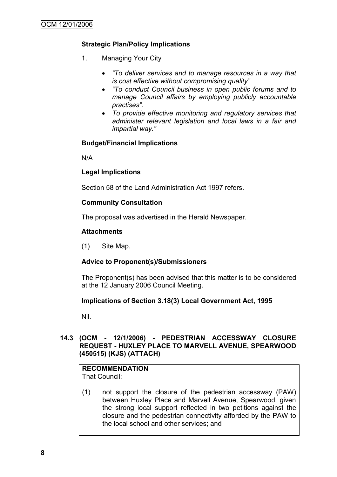# **Strategic Plan/Policy Implications**

- 1. Managing Your City
	- *"To deliver services and to manage resources in a way that is cost effective without compromising quality"*
	- *"To conduct Council business in open public forums and to manage Council affairs by employing publicly accountable practises".*
	- *To provide effective monitoring and regulatory services that administer relevant legislation and local laws in a fair and impartial way."*

# **Budget/Financial Implications**

N/A

# **Legal Implications**

Section 58 of the Land Administration Act 1997 refers.

# **Community Consultation**

The proposal was advertised in the Herald Newspaper.

# **Attachments**

(1) Site Map.

# **Advice to Proponent(s)/Submissioners**

The Proponent(s) has been advised that this matter is to be considered at the 12 January 2006 Council Meeting.

## **Implications of Section 3.18(3) Local Government Act, 1995**

Nil.

# **14.3 (OCM - 12/1/2006) - PEDESTRIAN ACCESSWAY CLOSURE REQUEST - HUXLEY PLACE TO MARVELL AVENUE, SPEARWOOD (450515) (KJS) (ATTACH)**

#### **RECOMMENDATION** That Council:

(1) not support the closure of the pedestrian accessway (PAW) between Huxley Place and Marvell Avenue, Spearwood, given the strong local support reflected in two petitions against the closure and the pedestrian connectivity afforded by the PAW to the local school and other services; and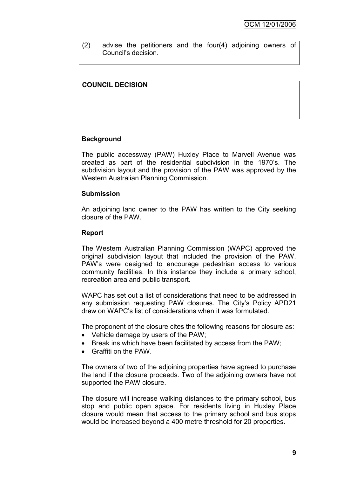(2) advise the petitioners and the four(4) adjoining owners of Council"s decision.

# **COUNCIL DECISION**

# **Background**

The public accessway (PAW) Huxley Place to Marvell Avenue was created as part of the residential subdivision in the 1970"s. The subdivision layout and the provision of the PAW was approved by the Western Australian Planning Commission.

## **Submission**

An adjoining land owner to the PAW has written to the City seeking closure of the PAW.

## **Report**

The Western Australian Planning Commission (WAPC) approved the original subdivision layout that included the provision of the PAW. PAW"s were designed to encourage pedestrian access to various community facilities. In this instance they include a primary school, recreation area and public transport.

WAPC has set out a list of considerations that need to be addressed in any submission requesting PAW closures. The City"s Policy APD21 drew on WAPC"s list of considerations when it was formulated.

The proponent of the closure cites the following reasons for closure as:

- Vehicle damage by users of the PAW;
- Break ins which have been facilitated by access from the PAW:
- Graffiti on the PAW.

The owners of two of the adjoining properties have agreed to purchase the land if the closure proceeds. Two of the adjoining owners have not supported the PAW closure.

The closure will increase walking distances to the primary school, bus stop and public open space. For residents living in Huxley Place closure would mean that access to the primary school and bus stops would be increased beyond a 400 metre threshold for 20 properties.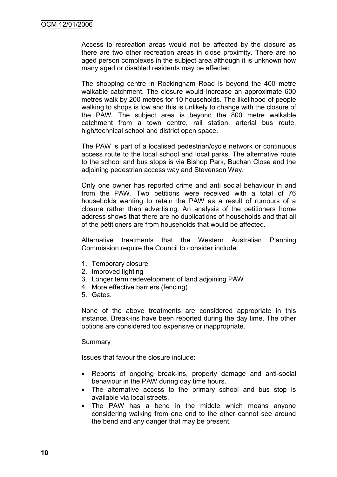Access to recreation areas would not be affected by the closure as there are two other recreation areas in close proximity. There are no aged person complexes in the subject area although it is unknown how many aged or disabled residents may be affected.

The shopping centre in Rockingham Road is beyond the 400 metre walkable catchment. The closure would increase an approximate 600 metres walk by 200 metres for 10 households. The likelihood of people walking to shops is low and this is unlikely to change with the closure of the PAW. The subject area is beyond the 800 metre walkable catchment from a town centre, rail station, arterial bus route, high/technical school and district open space.

The PAW is part of a localised pedestrian/cycle network or continuous access route to the local school and local parks. The alternative route to the school and bus stops is via Bishop Park, Buchan Close and the adjoining pedestrian access way and Stevenson Way.

Only one owner has reported crime and anti social behaviour in and from the PAW. Two petitions were received with a total of 76 households wanting to retain the PAW as a result of rumours of a closure rather than advertising. An analysis of the petitioners home address shows that there are no duplications of households and that all of the petitioners are from households that would be affected.

Alternative treatments that the Western Australian Planning Commission require the Council to consider include:

- 1. Temporary closure
- 2. Improved lighting
- 3. Longer term redevelopment of land adjoining PAW
- 4. More effective barriers (fencing)
- 5. Gates.

None of the above treatments are considered appropriate in this instance. Break-ins have been reported during the day time. The other options are considered too expensive or inappropriate.

#### Summary

Issues that favour the closure include:

- Reports of ongoing break-ins, property damage and anti-social behaviour in the PAW during day time hours.
- The alternative access to the primary school and bus stop is available via local streets.
- The PAW has a bend in the middle which means anyone considering walking from one end to the other cannot see around the bend and any danger that may be present.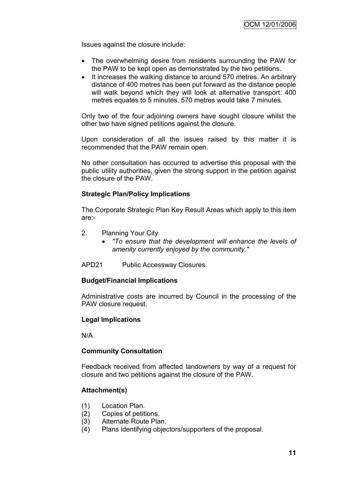Issues against the closure include:

- The overwhelming desire from residents surrounding the PAW for the PAW to be kept open as demonstrated by the two petitions.
- It increases the walking distance to around 570 metres. An arbitrary distance of 400 metres has been put forward as the distance people will walk beyond which they will look at alternative transport. 400 metres equates to 5 minutes. 570 metres would take 7 minutes.

Only two of the four adjoining owners have sought closure whilst the other two have signed petitions against the closure.

Upon consideration of all the issues raised by this matter it is recommended that the PAW remain open.

No other consultation has occurred to advertise this proposal with the public utility authorities, given the strong support in the petition against the closure of the PAW.

## **Strategic Plan/Policy Implications**

The Corporate Strategic Plan Key Result Areas which apply to this item are:-

- 2. Planning Your City
	- *"To ensure that the development will enhance the levels of amenity currently enjoyed by the community."*
- APD21 Public Accessway Closures.

## **Budget/Financial Implications**

Administrative costs are incurred by Council in the processing of the PAW closure request.

## **Legal Implications**

N/A

## **Community Consultation**

Feedback received from affected landowners by way of a request for closure and two petitions against the closure of the PAW.

## **Attachment(s)**

- (1) Location Plan.
- (2) Copies of petitions.
- (3) Alternate Route Plan.
- (4) Plans identifying objectors/supporters of the proposal.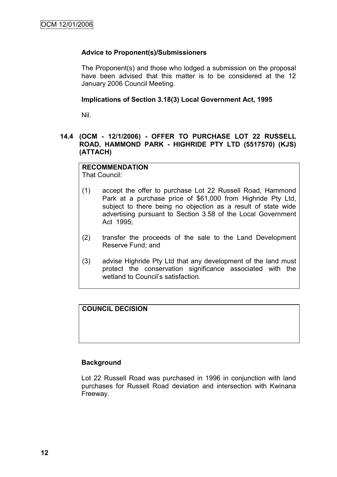# **Advice to Proponent(s)/Submissioners**

The Proponent(s) and those who lodged a submission on the proposal have been advised that this matter is to be considered at the 12 January 2006 Council Meeting.

## **Implications of Section 3.18(3) Local Government Act, 1995**

Nil.

# **14.4 (OCM - 12/1/2006) - OFFER TO PURCHASE LOT 22 RUSSELL ROAD, HAMMOND PARK - HIGHRIDE PTY LTD (5517570) (KJS) (ATTACH)**

# **RECOMMENDATION**

That Council:

- (1) accept the offer to purchase Lot 22 Russell Road, Hammond Park at a purchase price of \$61,000 from Highride Pty Ltd, subject to there being no objection as a result of state wide advertising pursuant to Section 3.58 of the Local Government Act 1995;
- (2) transfer the proceeds of the sale to the Land Development Reserve Fund; and
- (3) advise Highride Pty Ltd that any development of the land must protect the conservation significance associated with the wetland to Council's satisfaction

**COUNCIL DECISION**

## **Background**

Lot 22 Russell Road was purchased in 1996 in conjunction with land purchases for Russell Road deviation and intersection with Kwinana Freeway.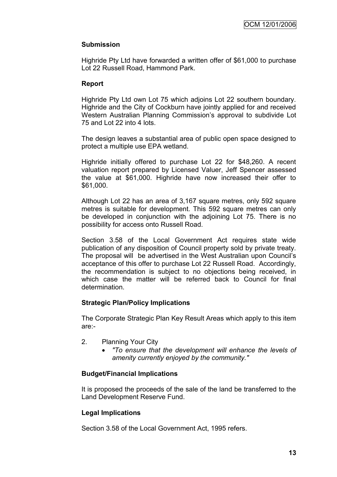# **Submission**

Highride Pty Ltd have forwarded a written offer of \$61,000 to purchase Lot 22 Russell Road, Hammond Park.

## **Report**

Highride Pty Ltd own Lot 75 which adjoins Lot 22 southern boundary. Highride and the City of Cockburn have jointly applied for and received Western Australian Planning Commission"s approval to subdivide Lot 75 and Lot 22 into 4 lots.

The design leaves a substantial area of public open space designed to protect a multiple use EPA wetland.

Highride initially offered to purchase Lot 22 for \$48,260. A recent valuation report prepared by Licensed Valuer, Jeff Spencer assessed the value at \$61,000. Highride have now increased their offer to \$61,000.

Although Lot 22 has an area of 3,167 square metres, only 592 square metres is suitable for development. This 592 square metres can only be developed in conjunction with the adjoining Lot 75. There is no possibility for access onto Russell Road.

Section 3.58 of the Local Government Act requires state wide publication of any disposition of Council property sold by private treaty. The proposal will be advertised in the West Australian upon Council"s acceptance of this offer to purchase Lot 22 Russell Road. Accordingly, the recommendation is subject to no objections being received, in which case the matter will be referred back to Council for final determination.

## **Strategic Plan/Policy Implications**

The Corporate Strategic Plan Key Result Areas which apply to this item are:-

- 2. Planning Your City
	- *"To ensure that the development will enhance the levels of amenity currently enjoyed by the community."*

# **Budget/Financial Implications**

It is proposed the proceeds of the sale of the land be transferred to the Land Development Reserve Fund.

# **Legal Implications**

Section 3.58 of the Local Government Act, 1995 refers.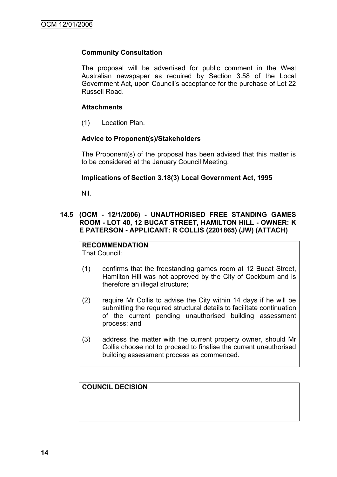# **Community Consultation**

The proposal will be advertised for public comment in the West Australian newspaper as required by Section 3.58 of the Local Government Act, upon Council"s acceptance for the purchase of Lot 22 Russell Road.

# **Attachments**

(1) Location Plan.

# **Advice to Proponent(s)/Stakeholders**

The Proponent(s) of the proposal has been advised that this matter is to be considered at the January Council Meeting.

# **Implications of Section 3.18(3) Local Government Act, 1995**

Nil.

# **14.5 (OCM - 12/1/2006) - UNAUTHORISED FREE STANDING GAMES ROOM - LOT 40, 12 BUCAT STREET, HAMILTON HILL - OWNER: K E PATERSON - APPLICANT: R COLLIS (2201865) (JW) (ATTACH)**

# **RECOMMENDATION**

That Council:

- (1) confirms that the freestanding games room at 12 Bucat Street, Hamilton Hill was not approved by the City of Cockburn and is therefore an illegal structure;
- (2) require Mr Collis to advise the City within 14 days if he will be submitting the required structural details to facilitate continuation of the current pending unauthorised building assessment process; and
- (3) address the matter with the current property owner, should Mr Collis choose not to proceed to finalise the current unauthorised building assessment process as commenced.

**COUNCIL DECISION**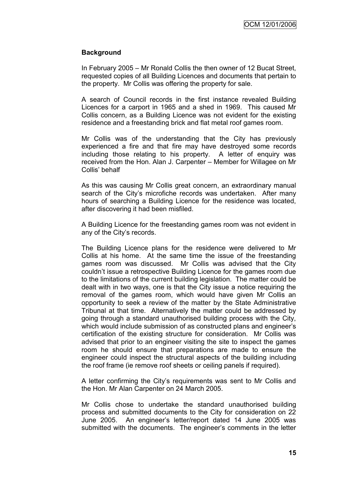## **Background**

In February 2005 – Mr Ronald Collis the then owner of 12 Bucat Street, requested copies of all Building Licences and documents that pertain to the property. Mr Collis was offering the property for sale.

A search of Council records in the first instance revealed Building Licences for a carport in 1965 and a shed in 1969. This caused Mr Collis concern, as a Building Licence was not evident for the existing residence and a freestanding brick and flat metal roof games room.

Mr Collis was of the understanding that the City has previously experienced a fire and that fire may have destroyed some records including those relating to his property. A letter of enquiry was received from the Hon. Alan J. Carpenter – Member for Willagee on Mr Collis" behalf

As this was causing Mr Collis great concern, an extraordinary manual search of the City's microfiche records was undertaken. After many hours of searching a Building Licence for the residence was located, after discovering it had been misfiled.

A Building Licence for the freestanding games room was not evident in any of the City"s records.

The Building Licence plans for the residence were delivered to Mr Collis at his home. At the same time the issue of the freestanding games room was discussed. Mr Collis was advised that the City couldn"t issue a retrospective Building Licence for the games room due to the limitations of the current building legislation. The matter could be dealt with in two ways, one is that the City issue a notice requiring the removal of the games room, which would have given Mr Collis an opportunity to seek a review of the matter by the State Administrative Tribunal at that time. Alternatively the matter could be addressed by going through a standard unauthorised building process with the City, which would include submission of as constructed plans and engineer"s certification of the existing structure for consideration. Mr Collis was advised that prior to an engineer visiting the site to inspect the games room he should ensure that preparations are made to ensure the engineer could inspect the structural aspects of the building including the roof frame (ie remove roof sheets or ceiling panels if required).

A letter confirming the City"s requirements was sent to Mr Collis and the Hon. Mr Alan Carpenter on 24 March 2005.

Mr Collis chose to undertake the standard unauthorised building process and submitted documents to the City for consideration on 22 June 2005. An engineer"s letter/report dated 14 June 2005 was submitted with the documents. The engineer"s comments in the letter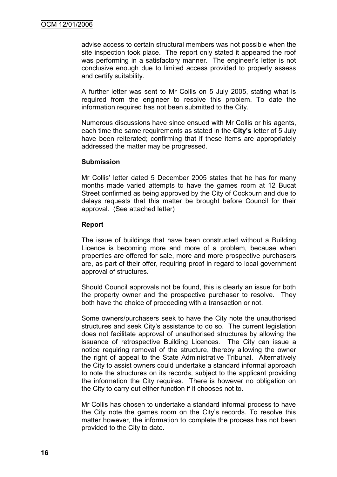advise access to certain structural members was not possible when the site inspection took place. The report only stated it appeared the roof was performing in a satisfactory manner. The engineer's letter is not conclusive enough due to limited access provided to properly assess and certify suitability.

A further letter was sent to Mr Collis on 5 July 2005, stating what is required from the engineer to resolve this problem. To date the information required has not been submitted to the City.

Numerous discussions have since ensued with Mr Collis or his agents, each time the same requirements as stated in the **City's** letter of 5 July have been reiterated; confirming that if these items are appropriately addressed the matter may be progressed.

#### **Submission**

Mr Collis" letter dated 5 December 2005 states that he has for many months made varied attempts to have the games room at 12 Bucat Street confirmed as being approved by the City of Cockburn and due to delays requests that this matter be brought before Council for their approval. (See attached letter)

#### **Report**

The issue of buildings that have been constructed without a Building Licence is becoming more and more of a problem, because when properties are offered for sale, more and more prospective purchasers are, as part of their offer, requiring proof in regard to local government approval of structures.

Should Council approvals not be found, this is clearly an issue for both the property owner and the prospective purchaser to resolve. They both have the choice of proceeding with a transaction or not.

Some owners/purchasers seek to have the City note the unauthorised structures and seek City"s assistance to do so. The current legislation does not facilitate approval of unauthorised structures by allowing the issuance of retrospective Building Licences. The City can issue a notice requiring removal of the structure, thereby allowing the owner the right of appeal to the State Administrative Tribunal. Alternatively the City to assist owners could undertake a standard informal approach to note the structures on its records, subject to the applicant providing the information the City requires. There is however no obligation on the City to carry out either function if it chooses not to.

Mr Collis has chosen to undertake a standard informal process to have the City note the games room on the City"s records. To resolve this matter however, the information to complete the process has not been provided to the City to date.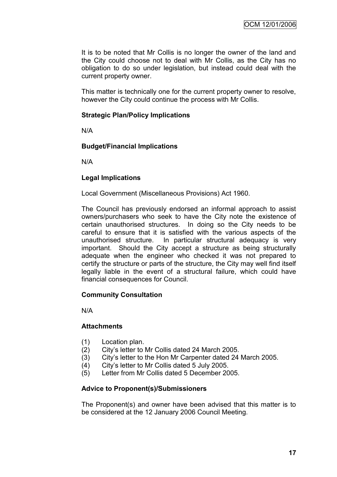It is to be noted that Mr Collis is no longer the owner of the land and the City could choose not to deal with Mr Collis, as the City has no obligation to do so under legislation, but instead could deal with the current property owner.

This matter is technically one for the current property owner to resolve, however the City could continue the process with Mr Collis.

## **Strategic Plan/Policy Implications**

N/A

## **Budget/Financial Implications**

N/A

## **Legal Implications**

Local Government (Miscellaneous Provisions) Act 1960.

The Council has previously endorsed an informal approach to assist owners/purchasers who seek to have the City note the existence of certain unauthorised structures. In doing so the City needs to be careful to ensure that it is satisfied with the various aspects of the unauthorised structure. In particular structural adequacy is very important. Should the City accept a structure as being structurally adequate when the engineer who checked it was not prepared to certify the structure or parts of the structure, the City may well find itself legally liable in the event of a structural failure, which could have financial consequences for Council.

## **Community Consultation**

N/A

## **Attachments**

- (1) Location plan.
- (2) City"s letter to Mr Collis dated 24 March 2005.
- (3) City"s letter to the Hon Mr Carpenter dated 24 March 2005.
- (4) City"s letter to Mr Collis dated 5 July 2005.
- (5) Letter from Mr Collis dated 5 December 2005.

## **Advice to Proponent(s)/Submissioners**

The Proponent(s) and owner have been advised that this matter is to be considered at the 12 January 2006 Council Meeting.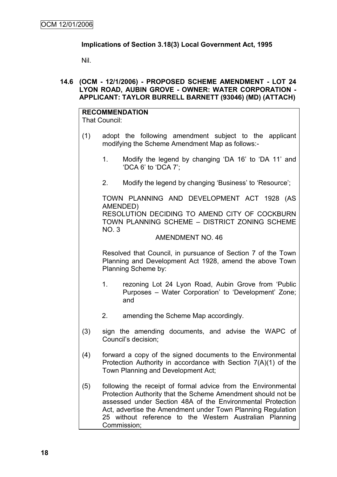# **Implications of Section 3.18(3) Local Government Act, 1995**

Nil.

## **14.6 (OCM - 12/1/2006) - PROPOSED SCHEME AMENDMENT - LOT 24 LYON ROAD, AUBIN GROVE - OWNER: WATER CORPORATION - APPLICANT: TAYLOR BURRELL BARNETT (93046) (MD) (ATTACH)**

#### **RECOMMENDATION** That Council:

- (1) adopt the following amendment subject to the applicant modifying the Scheme Amendment Map as follows:-
	- 1. Modify the legend by changing "DA 16" to "DA 11" and "DCA 6" to "DCA 7";
	- 2. Modify the legend by changing "Business" to "Resource";

TOWN PLANNING AND DEVELOPMENT ACT 1928 (AS AMENDED)

RESOLUTION DECIDING TO AMEND CITY OF COCKBURN TOWN PLANNING SCHEME – DISTRICT ZONING SCHEME NO. 3

#### AMENDMENT NO. 46

Resolved that Council, in pursuance of Section 7 of the Town Planning and Development Act 1928, amend the above Town Planning Scheme by:

- 1. rezoning Lot 24 Lyon Road, Aubin Grove from "Public Purposes – Water Corporation" to "Development" Zone; and
- 2. amending the Scheme Map accordingly.
- (3) sign the amending documents, and advise the WAPC of Council"s decision;
- (4) forward a copy of the signed documents to the Environmental Protection Authority in accordance with Section 7(A)(1) of the Town Planning and Development Act;
- (5) following the receipt of formal advice from the Environmental Protection Authority that the Scheme Amendment should not be assessed under Section 48A of the Environmental Protection Act, advertise the Amendment under Town Planning Regulation 25 without reference to the Western Australian Planning Commission;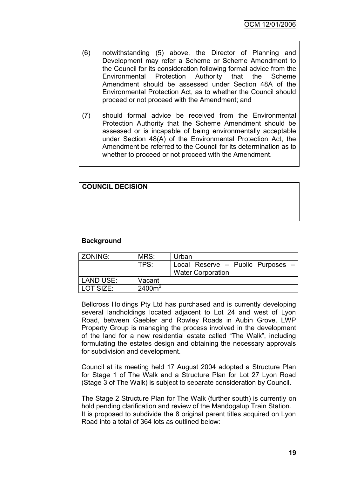- (6) notwithstanding (5) above, the Director of Planning and Development may refer a Scheme or Scheme Amendment to the Council for its consideration following formal advice from the Environmental Protection Authority that the Scheme Amendment should be assessed under Section 48A of the Environmental Protection Act, as to whether the Council should proceed or not proceed with the Amendment; and
- (7) should formal advice be received from the Environmental Protection Authority that the Scheme Amendment should be assessed or is incapable of being environmentally acceptable under Section 48(A) of the Environmental Protection Act, the Amendment be referred to the Council for its determination as to whether to proceed or not proceed with the Amendment.

| <b>COUNCIL DECISION</b> |  |  |
|-------------------------|--|--|
|                         |  |  |
|                         |  |  |
|                         |  |  |
|                         |  |  |
|                         |  |  |
|                         |  |  |
|                         |  |  |
|                         |  |  |

# **Background**

| ZONING:          | MRS:      | Urban                                                         |
|------------------|-----------|---------------------------------------------------------------|
|                  | TPS:      | Local Reserve - Public Purposes -<br><b>Water Corporation</b> |
| <b>LAND USE:</b> | Vacant    |                                                               |
| LOT SIZE:        | $2400m^2$ |                                                               |

Bellcross Holdings Pty Ltd has purchased and is currently developing several landholdings located adjacent to Lot 24 and west of Lyon Road, between Gaebler and Rowley Roads in Aubin Grove. LWP Property Group is managing the process involved in the development of the land for a new residential estate called "The Walk", including formulating the estates design and obtaining the necessary approvals for subdivision and development.

Council at its meeting held 17 August 2004 adopted a Structure Plan for Stage 1 of The Walk and a Structure Plan for Lot 27 Lyon Road (Stage 3 of The Walk) is subject to separate consideration by Council.

The Stage 2 Structure Plan for The Walk (further south) is currently on hold pending clarification and review of the Mandogalup Train Station. It is proposed to subdivide the 8 original parent titles acquired on Lyon Road into a total of 364 lots as outlined below: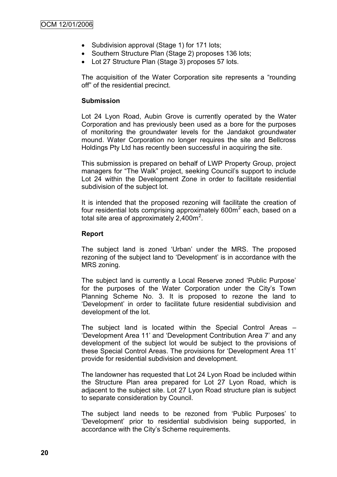- Subdivision approval (Stage 1) for 171 lots;
- Southern Structure Plan (Stage 2) proposes 136 lots;
- Lot 27 Structure Plan (Stage 3) proposes 57 lots.

The acquisition of the Water Corporation site represents a "rounding off" of the residential precinct.

## **Submission**

Lot 24 Lyon Road, Aubin Grove is currently operated by the Water Corporation and has previously been used as a bore for the purposes of monitoring the groundwater levels for the Jandakot groundwater mound. Water Corporation no longer requires the site and Bellcross Holdings Pty Ltd has recently been successful in acquiring the site.

This submission is prepared on behalf of LWP Property Group, project managers for "The Walk" project, seeking Council's support to include Lot 24 within the Development Zone in order to facilitate residential subdivision of the subject lot.

It is intended that the proposed rezoning will facilitate the creation of four residential lots comprising approximately  $600m^2$  each, based on a total site area of approximately  $2,400$ m<sup>2</sup>.

#### **Report**

The subject land is zoned "Urban" under the MRS. The proposed rezoning of the subject land to "Development" is in accordance with the MRS zoning.

The subject land is currently a Local Reserve zoned "Public Purpose" for the purposes of the Water Corporation under the City's Town Planning Scheme No. 3. It is proposed to rezone the land to "Development" in order to facilitate future residential subdivision and development of the lot.

The subject land is located within the Special Control Areas – "Development Area 11" and "Development Contribution Area 7" and any development of the subject lot would be subject to the provisions of these Special Control Areas. The provisions for "Development Area 11" provide for residential subdivision and development.

The landowner has requested that Lot 24 Lyon Road be included within the Structure Plan area prepared for Lot 27 Lyon Road, which is adjacent to the subject site. Lot 27 Lyon Road structure plan is subject to separate consideration by Council.

The subject land needs to be rezoned from "Public Purposes" to "Development" prior to residential subdivision being supported, in accordance with the City"s Scheme requirements.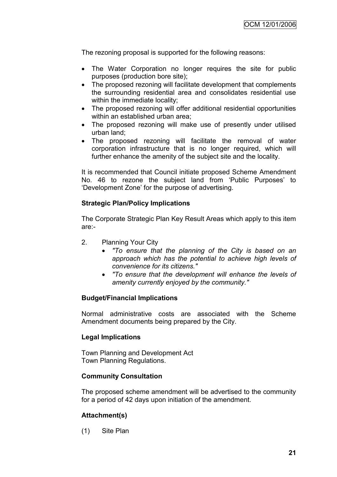The rezoning proposal is supported for the following reasons:

- The Water Corporation no longer requires the site for public purposes (production bore site);
- The proposed rezoning will facilitate development that complements the surrounding residential area and consolidates residential use within the immediate locality;
- The proposed rezoning will offer additional residential opportunities within an established urban area;
- The proposed rezoning will make use of presently under utilised urban land;
- The proposed rezoning will facilitate the removal of water corporation infrastructure that is no longer required, which will further enhance the amenity of the subject site and the locality.

It is recommended that Council initiate proposed Scheme Amendment No. 46 to rezone the subject land from 'Public Purposes' to "Development Zone" for the purpose of advertising.

# **Strategic Plan/Policy Implications**

The Corporate Strategic Plan Key Result Areas which apply to this item are:-

- 2. Planning Your City
	- *"To ensure that the planning of the City is based on an approach which has the potential to achieve high levels of convenience for its citizens."*
	- *"To ensure that the development will enhance the levels of amenity currently enjoyed by the community."*

# **Budget/Financial Implications**

Normal administrative costs are associated with the Scheme Amendment documents being prepared by the City.

## **Legal Implications**

Town Planning and Development Act Town Planning Regulations.

## **Community Consultation**

The proposed scheme amendment will be advertised to the community for a period of 42 days upon initiation of the amendment.

# **Attachment(s)**

(1) Site Plan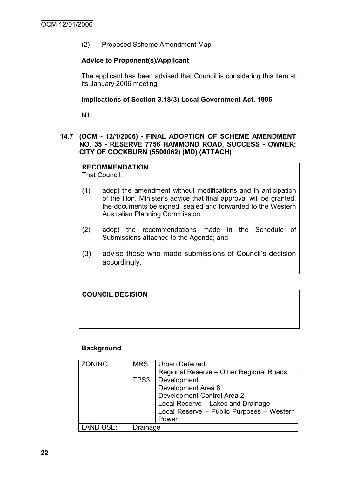(2) Proposed Scheme Amendment Map

# **Advice to Proponent(s)/Applicant**

The applicant has been advised that Council is considering this item at its January 2006 meeting.

# **Implications of Section 3.18(3) Local Government Act, 1995**

Nil.

# **14.7 (OCM - 12/1/2006) - FINAL ADOPTION OF SCHEME AMENDMENT NO. 35 - RESERVE 7756 HAMMOND ROAD, SUCCESS - OWNER: CITY OF COCKBURN (5500062) (MD) (ATTACH)**

# **RECOMMENDATION**

That Council:

- (1) adopt the amendment without modifications and in anticipation of the Hon. Minister"s advice that final approval will be granted, the documents be signed, sealed and forwarded to the Western Australian Planning Commission;
- (2) adopt the recommendations made in the Schedule of Submissions attached to the Agenda; and
- (3) advise those who made submissions of Council"s decision accordingly.

# **COUNCIL DECISION**

## **Background**

| ZONING:          | MRS:     | Urban Deferred                            |
|------------------|----------|-------------------------------------------|
|                  |          | Regional Reserve - Other Regional Roads   |
|                  |          | TPS3: Development                         |
|                  |          | Development Area 8                        |
|                  |          | Development Control Area 2                |
|                  |          | Local Reserve - Lakes and Drainage        |
|                  |          | Local Reserve - Public Purposes - Western |
|                  |          | Power                                     |
| <b>LAND USE:</b> | Drainage |                                           |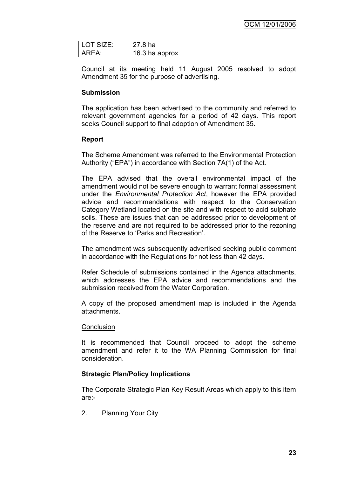OCM 12/01/2006

| LOT SIZE: | 27.8 ha        |
|-----------|----------------|
| ARFA.     | 16.3 ha approx |

Council at its meeting held 11 August 2005 resolved to adopt Amendment 35 for the purpose of advertising.

## **Submission**

The application has been advertised to the community and referred to relevant government agencies for a period of 42 days. This report seeks Council support to final adoption of Amendment 35.

## **Report**

The Scheme Amendment was referred to the Environmental Protection Authority ("EPA") in accordance with Section 7A(1) of the Act.

The EPA advised that the overall environmental impact of the amendment would not be severe enough to warrant formal assessment under the *Environmental Protection Act*, however the EPA provided advice and recommendations with respect to the Conservation Category Wetland located on the site and with respect to acid sulphate soils. These are issues that can be addressed prior to development of the reserve and are not required to be addressed prior to the rezoning of the Reserve to "Parks and Recreation".

The amendment was subsequently advertised seeking public comment in accordance with the Regulations for not less than 42 days.

Refer Schedule of submissions contained in the Agenda attachments, which addresses the EPA advice and recommendations and the submission received from the Water Corporation.

A copy of the proposed amendment map is included in the Agenda attachments.

#### **Conclusion**

It is recommended that Council proceed to adopt the scheme amendment and refer it to the WA Planning Commission for final consideration.

## **Strategic Plan/Policy Implications**

The Corporate Strategic Plan Key Result Areas which apply to this item are:-

2. Planning Your City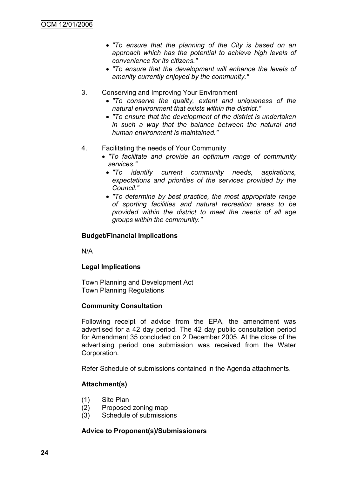- *"To ensure that the planning of the City is based on an approach which has the potential to achieve high levels of convenience for its citizens."*
- *"To ensure that the development will enhance the levels of amenity currently enjoyed by the community."*
- 3. Conserving and Improving Your Environment
	- *"To conserve the quality, extent and uniqueness of the natural environment that exists within the district."*
	- *"To ensure that the development of the district is undertaken in such a way that the balance between the natural and human environment is maintained."*
- 4. Facilitating the needs of Your Community
	- *"To facilitate and provide an optimum range of community services."*
		- *"To identify current community needs, aspirations, expectations and priorities of the services provided by the Council."*
		- *"To determine by best practice, the most appropriate range of sporting facilities and natural recreation areas to be provided within the district to meet the needs of all age groups within the community."*

# **Budget/Financial Implications**

N/A

## **Legal Implications**

Town Planning and Development Act Town Planning Regulations

## **Community Consultation**

Following receipt of advice from the EPA, the amendment was advertised for a 42 day period. The 42 day public consultation period for Amendment 35 concluded on 2 December 2005. At the close of the advertising period one submission was received from the Water Corporation.

Refer Schedule of submissions contained in the Agenda attachments.

# **Attachment(s)**

- (1) Site Plan
- (2) Proposed zoning map
- (3) Schedule of submissions

## **Advice to Proponent(s)/Submissioners**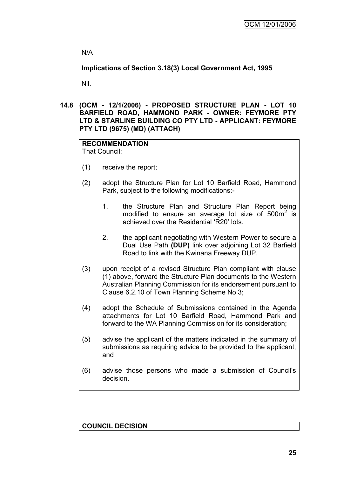N/A

**Implications of Section 3.18(3) Local Government Act, 1995**

Nil.

**14.8 (OCM - 12/1/2006) - PROPOSED STRUCTURE PLAN - LOT 10 BARFIELD ROAD, HAMMOND PARK - OWNER: FEYMORE PTY LTD & STARLINE BUILDING CO PTY LTD - APPLICANT: FEYMORE PTY LTD (9675) (MD) (ATTACH)**

#### **RECOMMENDATION** That Council:

- (1) receive the report;
- (2) adopt the Structure Plan for Lot 10 Barfield Road, Hammond Park, subject to the following modifications:-
	- 1. the Structure Plan and Structure Plan Report being modified to ensure an average lot size of  $500m^2$  is achieved over the Residential "R20" lots.
	- 2. the applicant negotiating with Western Power to secure a Dual Use Path **(DUP)** link over adjoining Lot 32 Barfield Road to link with the Kwinana Freeway DUP.
- (3) upon receipt of a revised Structure Plan compliant with clause (1) above, forward the Structure Plan documents to the Western Australian Planning Commission for its endorsement pursuant to Clause 6.2.10 of Town Planning Scheme No 3;
- (4) adopt the Schedule of Submissions contained in the Agenda attachments for Lot 10 Barfield Road, Hammond Park and forward to the WA Planning Commission for its consideration;
- (5) advise the applicant of the matters indicated in the summary of submissions as requiring advice to be provided to the applicant; and
- (6) advise those persons who made a submission of Council"s decision.

**COUNCIL DECISION**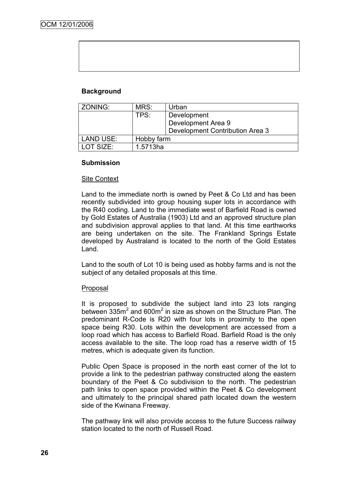# **Background**

| ZONING:          | MRS:<br>Urban |                                 |
|------------------|---------------|---------------------------------|
|                  | TPS:          | Development                     |
|                  |               | Development Area 9              |
|                  |               | Development Contribution Area 3 |
| <b>LAND USE:</b> | Hobby farm    |                                 |
| LOT SIZE:        | 1.5713ha      |                                 |

#### **Submission**

#### Site Context

Land to the immediate north is owned by Peet & Co Ltd and has been recently subdivided into group housing super lots in accordance with the R40 coding. Land to the immediate west of Barfield Road is owned by Gold Estates of Australia (1903) Ltd and an approved structure plan and subdivision approval applies to that land. At this time earthworks are being undertaken on the site. The Frankland Springs Estate developed by Australand is located to the north of the Gold Estates Land.

Land to the south of Lot 10 is being used as hobby farms and is not the subject of any detailed proposals at this time.

#### Proposal

It is proposed to subdivide the subject land into 23 lots ranging between  $335m^2$  and 600 $m^2$  in size as shown on the Structure Plan. The predominant R-Code is R20 with four lots in proximity to the open space being R30. Lots within the development are accessed from a loop road which has access to Barfield Road. Barfield Road is the only access available to the site. The loop road has a reserve width of 15 metres, which is adequate given its function.

Public Open Space is proposed in the north east corner of the lot to provide a link to the pedestrian pathway constructed along the eastern boundary of the Peet & Co subdivision to the north. The pedestrian path links to open space provided within the Peet & Co development and ultimately to the principal shared path located down the western side of the Kwinana Freeway.

The pathway link will also provide access to the future Success railway station located to the north of Russell Road.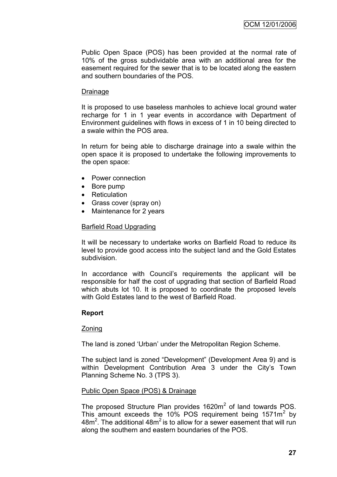Public Open Space (POS) has been provided at the normal rate of 10% of the gross subdividable area with an additional area for the easement required for the sewer that is to be located along the eastern and southern boundaries of the POS.

#### Drainage

It is proposed to use baseless manholes to achieve local ground water recharge for 1 in 1 year events in accordance with Department of Environment guidelines with flows in excess of 1 in 10 being directed to a swale within the POS area.

In return for being able to discharge drainage into a swale within the open space it is proposed to undertake the following improvements to the open space:

- Power connection
- Bore pump
- Reticulation
- Grass cover (spray on)
- Maintenance for 2 years

#### Barfield Road Upgrading

It will be necessary to undertake works on Barfield Road to reduce its level to provide good access into the subject land and the Gold Estates subdivision.

In accordance with Council's requirements the applicant will be responsible for half the cost of upgrading that section of Barfield Road which abuts lot 10. It is proposed to coordinate the proposed levels with Gold Estates land to the west of Barfield Road.

## **Report**

#### Zoning

The land is zoned "Urban" under the Metropolitan Region Scheme.

The subject land is zoned "Development" (Development Area 9) and is within Development Contribution Area 3 under the City's Town Planning Scheme No. 3 (TPS 3).

## Public Open Space (POS) & Drainage

The proposed Structure Plan provides  $1620m^2$  of land towards POS. This amount exceeds the 10% POS requirement being  $1571m^2$  by  $48m<sup>2</sup>$ . The additional  $48m<sup>2</sup>$  is to allow for a sewer easement that will run along the southern and eastern boundaries of the POS.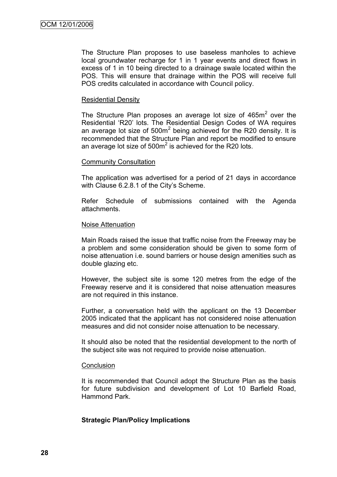The Structure Plan proposes to use baseless manholes to achieve local groundwater recharge for 1 in 1 year events and direct flows in excess of 1 in 10 being directed to a drainage swale located within the POS. This will ensure that drainage within the POS will receive full POS credits calculated in accordance with Council policy.

#### Residential Density

The Structure Plan proposes an average lot size of  $465m<sup>2</sup>$  over the Residential "R20" lots. The Residential Design Codes of WA requires an average lot size of  $500m^2$  being achieved for the R20 density. It is recommended that the Structure Plan and report be modified to ensure an average lot size of  $500<sup>m²</sup>$  is achieved for the R20 lots.

#### Community Consultation

The application was advertised for a period of 21 days in accordance with Clause 6.2.8.1 of the City's Scheme.

Refer Schedule of submissions contained with the Agenda attachments.

#### Noise Attenuation

Main Roads raised the issue that traffic noise from the Freeway may be a problem and some consideration should be given to some form of noise attenuation i.e. sound barriers or house design amenities such as double glazing etc.

However, the subject site is some 120 metres from the edge of the Freeway reserve and it is considered that noise attenuation measures are not required in this instance.

Further, a conversation held with the applicant on the 13 December 2005 indicated that the applicant has not considered noise attenuation measures and did not consider noise attenuation to be necessary.

It should also be noted that the residential development to the north of the subject site was not required to provide noise attenuation.

#### **Conclusion**

It is recommended that Council adopt the Structure Plan as the basis for future subdivision and development of Lot 10 Barfield Road, Hammond Park.

## **Strategic Plan/Policy Implications**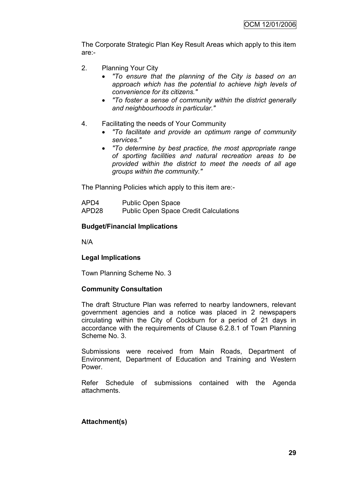The Corporate Strategic Plan Key Result Areas which apply to this item are:-

- 2. Planning Your City
	- *"To ensure that the planning of the City is based on an approach which has the potential to achieve high levels of convenience for its citizens."*
	- *"To foster a sense of community within the district generally and neighbourhoods in particular."*
- 4. Facilitating the needs of Your Community
	- *"To facilitate and provide an optimum range of community services."*
	- *"To determine by best practice, the most appropriate range of sporting facilities and natural recreation areas to be provided within the district to meet the needs of all age groups within the community."*

The Planning Policies which apply to this item are:-

APD4 Public Open Space APD28 Public Open Space Credit Calculations

#### **Budget/Financial Implications**

N/A

## **Legal Implications**

Town Planning Scheme No. 3

#### **Community Consultation**

The draft Structure Plan was referred to nearby landowners, relevant government agencies and a notice was placed in 2 newspapers circulating within the City of Cockburn for a period of 21 days in accordance with the requirements of Clause 6.2.8.1 of Town Planning Scheme No. 3.

Submissions were received from Main Roads, Department of Environment, Department of Education and Training and Western Power.

Refer Schedule of submissions contained with the Agenda attachments.

#### **Attachment(s)**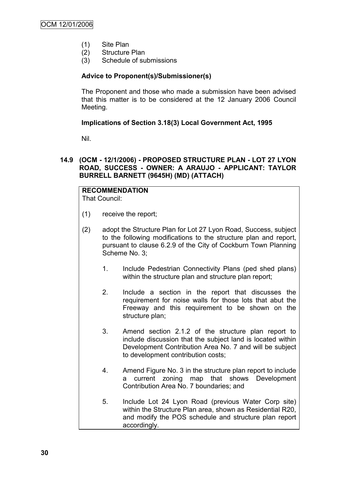- (1) Site Plan
- (2) Structure Plan
- (3) Schedule of submissions

# **Advice to Proponent(s)/Submissioner(s)**

The Proponent and those who made a submission have been advised that this matter is to be considered at the 12 January 2006 Council Meeting.

# **Implications of Section 3.18(3) Local Government Act, 1995**

Nil.

## **14.9 (OCM - 12/1/2006) - PROPOSED STRUCTURE PLAN - LOT 27 LYON ROAD, SUCCESS - OWNER: A ARAUJO - APPLICANT: TAYLOR BURRELL BARNETT (9645H) (MD) (ATTACH)**

#### **RECOMMENDATION** That Council:

- (1) receive the report;
- (2) adopt the Structure Plan for Lot 27 Lyon Road, Success, subject to the following modifications to the structure plan and report, pursuant to clause 6.2.9 of the City of Cockburn Town Planning Scheme No. 3;
	- 1. Include Pedestrian Connectivity Plans (ped shed plans) within the structure plan and structure plan report:
	- 2. Include a section in the report that discusses the requirement for noise walls for those lots that abut the Freeway and this requirement to be shown on the structure plan;
	- 3. Amend section 2.1.2 of the structure plan report to include discussion that the subject land is located within Development Contribution Area No. 7 and will be subject to development contribution costs;
	- 4. Amend Figure No. 3 in the structure plan report to include a current zoning map that shows Development Contribution Area No. 7 boundaries; and
	- 5. Include Lot 24 Lyon Road (previous Water Corp site) within the Structure Plan area, shown as Residential R20, and modify the POS schedule and structure plan report accordingly.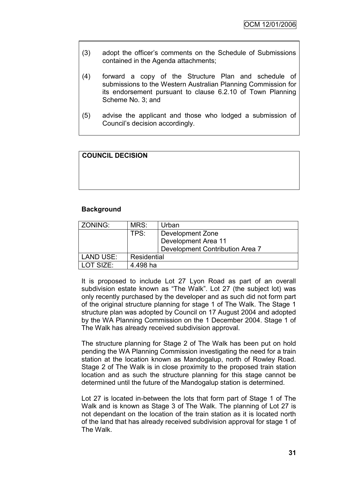- (3) adopt the officer"s comments on the Schedule of Submissions contained in the Agenda attachments;
- (4) forward a copy of the Structure Plan and schedule of submissions to the Western Australian Planning Commission for its endorsement pursuant to clause 6.2.10 of Town Planning Scheme No. 3; and
- (5) advise the applicant and those who lodged a submission of Council"s decision accordingly.

# **COUNCIL DECISION**

#### **Background**

| ZONING:          | MRS:        | Urban                           |
|------------------|-------------|---------------------------------|
|                  | TPS:        | Development Zone                |
|                  |             | Development Area 11             |
|                  |             | Development Contribution Area 7 |
| <b>LAND USE:</b> | Residential |                                 |
| LOT SIZE:        | 4.498 ha    |                                 |

It is proposed to include Lot 27 Lyon Road as part of an overall subdivision estate known as "The Walk". Lot 27 (the subject lot) was only recently purchased by the developer and as such did not form part of the original structure planning for stage 1 of The Walk. The Stage 1 structure plan was adopted by Council on 17 August 2004 and adopted by the WA Planning Commission on the 1 December 2004. Stage 1 of The Walk has already received subdivision approval.

The structure planning for Stage 2 of The Walk has been put on hold pending the WA Planning Commission investigating the need for a train station at the location known as Mandogalup, north of Rowley Road. Stage 2 of The Walk is in close proximity to the proposed train station location and as such the structure planning for this stage cannot be determined until the future of the Mandogalup station is determined.

Lot 27 is located in-between the lots that form part of Stage 1 of The Walk and is known as Stage 3 of The Walk. The planning of Lot 27 is not dependant on the location of the train station as it is located north of the land that has already received subdivision approval for stage 1 of The Walk.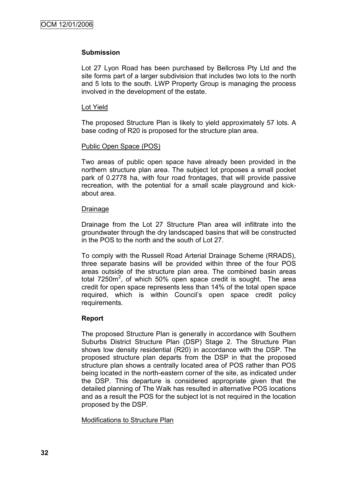#### **Submission**

Lot 27 Lyon Road has been purchased by Bellcross Pty Ltd and the site forms part of a larger subdivision that includes two lots to the north and 5 lots to the south. LWP Property Group is managing the process involved in the development of the estate.

#### Lot Yield

The proposed Structure Plan is likely to yield approximately 57 lots. A base coding of R20 is proposed for the structure plan area.

#### Public Open Space (POS)

Two areas of public open space have already been provided in the northern structure plan area. The subject lot proposes a small pocket park of 0.2778 ha, with four road frontages, that will provide passive recreation, with the potential for a small scale playground and kickabout area.

#### Drainage

Drainage from the Lot 27 Structure Plan area will infiltrate into the groundwater through the dry landscaped basins that will be constructed in the POS to the north and the south of Lot 27.

To comply with the Russell Road Arterial Drainage Scheme (RRADS), three separate basins will be provided within three of the four POS areas outside of the structure plan area. The combined basin areas total 7250 $m^2$ , of which 50% open space credit is sought. The area credit for open space represents less than 14% of the total open space required, which is within Council"s open space credit policy requirements.

## **Report**

The proposed Structure Plan is generally in accordance with Southern Suburbs District Structure Plan (DSP) Stage 2. The Structure Plan shows low density residential (R20) in accordance with the DSP. The proposed structure plan departs from the DSP in that the proposed structure plan shows a centrally located area of POS rather than POS being located in the north-eastern corner of the site, as indicated under the DSP. This departure is considered appropriate given that the detailed planning of The Walk has resulted in alternative POS locations and as a result the POS for the subject lot is not required in the location proposed by the DSP.

## Modifications to Structure Plan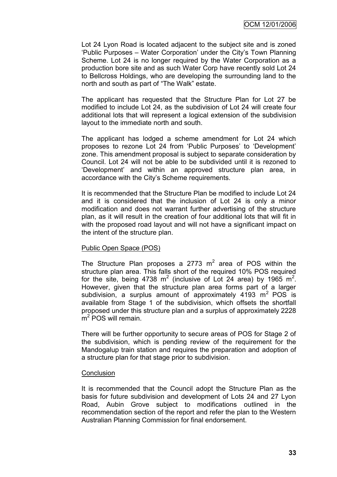Lot 24 Lyon Road is located adjacent to the subject site and is zoned 'Public Purposes - Water Corporation' under the City's Town Planning Scheme. Lot 24 is no longer required by the Water Corporation as a production bore site and as such Water Corp have recently sold Lot 24 to Bellcross Holdings, who are developing the surrounding land to the north and south as part of "The Walk" estate.

The applicant has requested that the Structure Plan for Lot 27 be modified to include Lot 24, as the subdivision of Lot 24 will create four additional lots that will represent a logical extension of the subdivision layout to the immediate north and south.

The applicant has lodged a scheme amendment for Lot 24 which proposes to rezone Lot 24 from "Public Purposes" to "Development" zone. This amendment proposal is subject to separate consideration by Council. Lot 24 will not be able to be subdivided until it is rezoned to "Development" and within an approved structure plan area, in accordance with the City"s Scheme requirements.

It is recommended that the Structure Plan be modified to include Lot 24 and it is considered that the inclusion of Lot 24 is only a minor modification and does not warrant further advertising of the structure plan, as it will result in the creation of four additional lots that will fit in with the proposed road layout and will not have a significant impact on the intent of the structure plan.

## Public Open Space (POS)

The Structure Plan proposes a 2773  $m^2$  area of POS within the structure plan area. This falls short of the required 10% POS required for the site, being 4738 m<sup>2</sup> (inclusive of Lot 24 area) by 1965 m<sup>2</sup>. However, given that the structure plan area forms part of a larger subdivision, a surplus amount of approximately  $4193 \text{ m}^2$  POS is available from Stage 1 of the subdivision, which offsets the shortfall proposed under this structure plan and a surplus of approximately 2228 m<sup>2</sup> POS will remain.

There will be further opportunity to secure areas of POS for Stage 2 of the subdivision, which is pending review of the requirement for the Mandogalup train station and requires the preparation and adoption of a structure plan for that stage prior to subdivision.

## **Conclusion**

It is recommended that the Council adopt the Structure Plan as the basis for future subdivision and development of Lots 24 and 27 Lyon Road, Aubin Grove subject to modifications outlined in the recommendation section of the report and refer the plan to the Western Australian Planning Commission for final endorsement.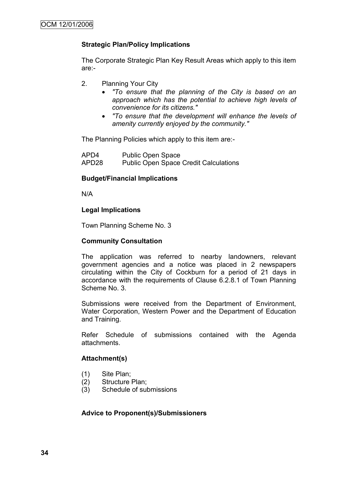# **Strategic Plan/Policy Implications**

The Corporate Strategic Plan Key Result Areas which apply to this item are:-

- 2. Planning Your City
	- *"To ensure that the planning of the City is based on an approach which has the potential to achieve high levels of convenience for its citizens."*
	- *"To ensure that the development will enhance the levels of amenity currently enjoyed by the community."*

The Planning Policies which apply to this item are:-

APD4 Public Open Space APD28 Public Open Space Credit Calculations

## **Budget/Financial Implications**

N/A

#### **Legal Implications**

Town Planning Scheme No. 3

## **Community Consultation**

The application was referred to nearby landowners, relevant government agencies and a notice was placed in 2 newspapers circulating within the City of Cockburn for a period of 21 days in accordance with the requirements of Clause 6.2.8.1 of Town Planning Scheme No. 3.

Submissions were received from the Department of Environment, Water Corporation, Western Power and the Department of Education and Training.

Refer Schedule of submissions contained with the Agenda attachments.

## **Attachment(s)**

- (1) Site Plan;
- (2) Structure Plan;
- (3) Schedule of submissions

## **Advice to Proponent(s)/Submissioners**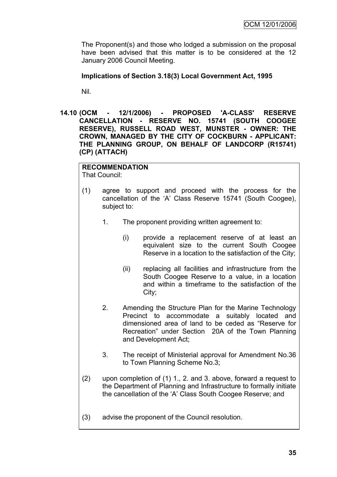The Proponent(s) and those who lodged a submission on the proposal have been advised that this matter is to be considered at the 12 January 2006 Council Meeting.

## **Implications of Section 3.18(3) Local Government Act, 1995**

Nil.

**14.10 (OCM - 12/1/2006) - PROPOSED 'A-CLASS' RESERVE CANCELLATION - RESERVE NO. 15741 (SOUTH COOGEE RESERVE), RUSSELL ROAD WEST, MUNSTER - OWNER: THE CROWN, MANAGED BY THE CITY OF COCKBURN - APPLICANT: THE PLANNING GROUP, ON BEHALF OF LANDCORP (R15741) (CP) (ATTACH)**

# **RECOMMENDATION**

That Council:

- (1) agree to support and proceed with the process for the cancellation of the "A" Class Reserve 15741 (South Coogee), subject to:
	- 1. The proponent providing written agreement to:
		- (i) provide a replacement reserve of at least an equivalent size to the current South Coogee Reserve in a location to the satisfaction of the City;
		- (ii) replacing all facilities and infrastructure from the South Coogee Reserve to a value, in a location and within a timeframe to the satisfaction of the City;
	- 2. Amending the Structure Plan for the Marine Technology Precinct to accommodate a suitably located and dimensioned area of land to be ceded as "Reserve for Recreation" under Section 20A of the Town Planning and Development Act;
	- 3. The receipt of Ministerial approval for Amendment No.36 to Town Planning Scheme No.3;
- (2) upon completion of (1) 1., 2. and 3. above, forward a request to the Department of Planning and Infrastructure to formally initiate the cancellation of the "A" Class South Coogee Reserve; and
- (3) advise the proponent of the Council resolution.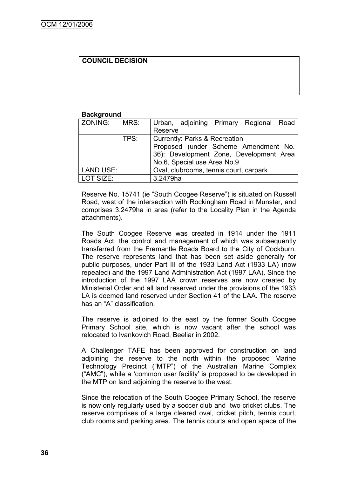# **COUNCIL DECISION**

#### **Background**

| ZONING:   | MRS: | Urban, adjoining Primary Regional Road   |
|-----------|------|------------------------------------------|
|           |      | Reserve                                  |
|           | TPS: | <b>Currently: Parks &amp; Recreation</b> |
|           |      | Proposed (under Scheme Amendment No.     |
|           |      | 36): Development Zone, Development Area  |
|           |      | No.6, Special use Area No.9              |
| LAND USE: |      | Oval, clubrooms, tennis court, carpark   |
| LOT SIZE: |      | 3.2479ha                                 |

Reserve No. 15741 (ie "South Coogee Reserve") is situated on Russell Road, west of the intersection with Rockingham Road in Munster, and comprises 3.2479ha in area (refer to the Locality Plan in the Agenda attachments).

The South Coogee Reserve was created in 1914 under the 1911 Roads Act, the control and management of which was subsequently transferred from the Fremantle Roads Board to the City of Cockburn. The reserve represents land that has been set aside generally for public purposes, under Part III of the 1933 Land Act (1933 LA) (now repealed) and the 1997 Land Administration Act (1997 LAA). Since the introduction of the 1997 LAA crown reserves are now created by Ministerial Order and all land reserved under the provisions of the 1933 LA is deemed land reserved under Section 41 of the LAA. The reserve has an "A" classification.

The reserve is adjoined to the east by the former South Coogee Primary School site, which is now vacant after the school was relocated to Ivankovich Road, Beeliar in 2002.

A Challenger TAFE has been approved for construction on land adjoining the reserve to the north within the proposed Marine Technology Precinct ("MTP") of the Australian Marine Complex ("AMC"), while a "common user facility" is proposed to be developed in the MTP on land adjoining the reserve to the west.

Since the relocation of the South Coogee Primary School, the reserve is now only regularly used by a soccer club and two cricket clubs. The reserve comprises of a large cleared oval, cricket pitch, tennis court, club rooms and parking area. The tennis courts and open space of the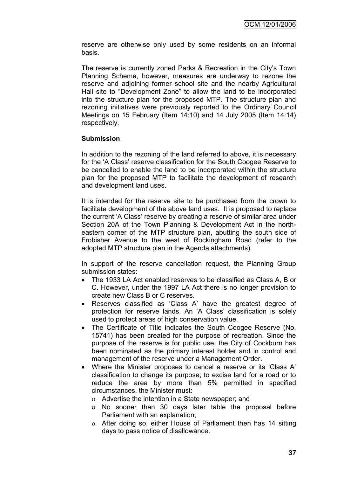reserve are otherwise only used by some residents on an informal basis.

The reserve is currently zoned Parks & Recreation in the City"s Town Planning Scheme, however, measures are underway to rezone the reserve and adjoining former school site and the nearby Agricultural Hall site to "Development Zone" to allow the land to be incorporated into the structure plan for the proposed MTP. The structure plan and rezoning initiatives were previously reported to the Ordinary Council Meetings on 15 February (Item 14:10) and 14 July 2005 (Item 14:14) respectively.

# **Submission**

In addition to the rezoning of the land referred to above, it is necessary for the "A Class" reserve classification for the South Coogee Reserve to be cancelled to enable the land to be incorporated within the structure plan for the proposed MTP to facilitate the development of research and development land uses.

It is intended for the reserve site to be purchased from the crown to facilitate development of the above land uses. It is proposed to replace the current 'A Class' reserve by creating a reserve of similar area under Section 20A of the Town Planning & Development Act in the northeastern corner of the MTP structure plan, abutting the south side of Frobisher Avenue to the west of Rockingham Road (refer to the adopted MTP structure plan in the Agenda attachments).

In support of the reserve cancellation request, the Planning Group submission states:

- The 1933 LA Act enabled reserves to be classified as Class A, B or C. However, under the 1997 LA Act there is no longer provision to create new Class B or C reserves.
- Reserves classified as "Class A" have the greatest degree of protection for reserve lands. An "A Class" classification is solely used to protect areas of high conservation value.
- The Certificate of Title indicates the South Coogee Reserve (No. 15741) has been created for the purpose of recreation. Since the purpose of the reserve is for public use, the City of Cockburn has been nominated as the primary interest holder and in control and management of the reserve under a Management Order.
- Where the Minister proposes to cancel a reserve or its "Class A" classification to change its purpose; to excise land for a road or to reduce the area by more than 5% permitted in specified circumstances, the Minister must:
	- Advertise the intention in a State newspaper; and
	- No sooner than 30 days later table the proposal before Parliament with an explanation;
	- After doing so, either House of Parliament then has 14 sitting days to pass notice of disallowance.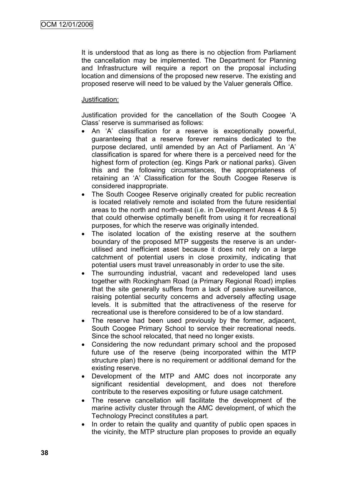It is understood that as long as there is no objection from Parliament the cancellation may be implemented. The Department for Planning and Infrastructure will require a report on the proposal including location and dimensions of the proposed new reserve. The existing and proposed reserve will need to be valued by the Valuer generals Office.

## Justification:

Justification provided for the cancellation of the South Coogee "A Class" reserve is summarised as follows:

- An "A" classification for a reserve is exceptionally powerful, guaranteeing that a reserve forever remains dedicated to the purpose declared, until amended by an Act of Parliament. An "A" classification is spared for where there is a perceived need for the highest form of protection (eg. Kings Park or national parks). Given this and the following circumstances, the appropriateness of retaining an "A" Classification for the South Coogee Reserve is considered inappropriate.
- The South Coogee Reserve originally created for public recreation is located relatively remote and isolated from the future residential areas to the north and north-east (i.e. in Development Areas 4 & 5) that could otherwise optimally benefit from using it for recreational purposes, for which the reserve was originally intended.
- The isolated location of the existing reserve at the southern boundary of the proposed MTP suggests the reserve is an underutilised and inefficient asset because it does not rely on a large catchment of potential users in close proximity, indicating that potential users must travel unreasonably in order to use the site.
- The surrounding industrial, vacant and redeveloped land uses together with Rockingham Road (a Primary Regional Road) implies that the site generally suffers from a lack of passive surveillance, raising potential security concerns and adversely affecting usage levels. It is submitted that the attractiveness of the reserve for recreational use is therefore considered to be of a low standard.
- The reserve had been used previously by the former, adjacent, South Coogee Primary School to service their recreational needs. Since the school relocated, that need no longer exists.
- Considering the now redundant primary school and the proposed future use of the reserve (being incorporated within the MTP structure plan) there is no requirement or additional demand for the existing reserve.
- Development of the MTP and AMC does not incorporate any significant residential development, and does not therefore contribute to the reserves expositing or future usage catchment.
- The reserve cancellation will facilitate the development of the marine activity cluster through the AMC development, of which the Technology Precinct constitutes a part.
- In order to retain the quality and quantity of public open spaces in the vicinity, the MTP structure plan proposes to provide an equally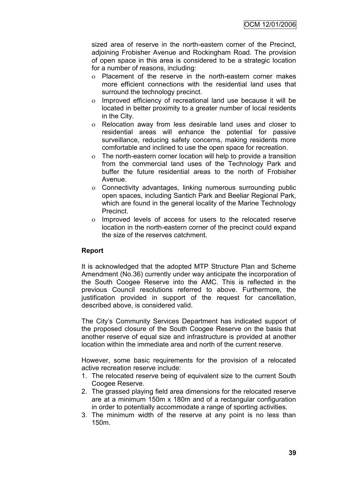sized area of reserve in the north-eastern corner of the Precinct, adjoining Frobisher Avenue and Rockingham Road. The provision of open space in this area is considered to be a strategic location for a number of reasons, including:

- Placement of the reserve in the north-eastern corner makes more efficient connections with the residential land uses that surround the technology precinct.
- Improved efficiency of recreational land use because it will be located in better proximity to a greater number of local residents in the City.
- Relocation away from less desirable land uses and closer to residential areas will enhance the potential for passive surveillance, reducing safety concerns, making residents more comfortable and inclined to use the open space for recreation.
- The north-eastern corner location will help to provide a transition from the commercial land uses of the Technology Park and buffer the future residential areas to the north of Frobisher Avenue.
- Connectivity advantages, linking numerous surrounding public open spaces, including Santich Park and Beeliar Regional Park, which are found in the general locality of the Marine Technology Precinct.
- o Improved levels of access for users to the relocated reserve location in the north-eastern corner of the precinct could expand the size of the reserves catchment.

# **Report**

It is acknowledged that the adopted MTP Structure Plan and Scheme Amendment (No.36) currently under way anticipate the incorporation of the South Coogee Reserve into the AMC. This is reflected in the previous Council resolutions referred to above. Furthermore, the justification provided in support of the request for cancellation, described above, is considered valid.

The City"s Community Services Department has indicated support of the proposed closure of the South Coogee Reserve on the basis that another reserve of equal size and infrastructure is provided at another location within the immediate area and north of the current reserve.

However, some basic requirements for the provision of a relocated active recreation reserve include:

- 1. The relocated reserve being of equivalent size to the current South Coogee Reserve.
- 2. The grassed playing field area dimensions for the relocated reserve are at a minimum 150m x 180m and of a rectangular configuration in order to potentially accommodate a range of sporting activities.
- 3. The minimum width of the reserve at any point is no less than 150m.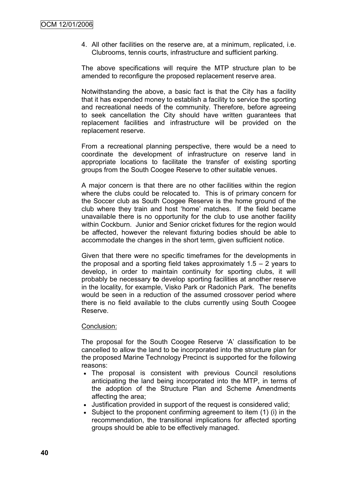4. All other facilities on the reserve are, at a minimum, replicated, i.e. Clubrooms, tennis courts, infrastructure and sufficient parking.

The above specifications will require the MTP structure plan to be amended to reconfigure the proposed replacement reserve area.

Notwithstanding the above, a basic fact is that the City has a facility that it has expended money to establish a facility to service the sporting and recreational needs of the community. Therefore, before agreeing to seek cancellation the City should have written guarantees that replacement facilities and infrastructure will be provided on the replacement reserve.

From a recreational planning perspective, there would be a need to coordinate the development of infrastructure on reserve land in appropriate locations to facilitate the transfer of existing sporting groups from the South Coogee Reserve to other suitable venues.

A major concern is that there are no other facilities within the region where the clubs could be relocated to. This is of primary concern for the Soccer club as South Coogee Reserve is the home ground of the club where they train and host "home" matches. If the field became unavailable there is no opportunity for the club to use another facility within Cockburn. Junior and Senior cricket fixtures for the region would be affected, however the relevant fixturing bodies should be able to accommodate the changes in the short term, given sufficient notice.

Given that there were no specific timeframes for the developments in the proposal and a sporting field takes approximately  $1.5 - 2$  years to develop, in order to maintain continuity for sporting clubs, it will probably be necessary **to** develop sporting facilities at another reserve in the locality, for example, Visko Park or Radonich Park. The benefits would be seen in a reduction of the assumed crossover period where there is no field available to the clubs currently using South Coogee Reserve.

#### Conclusion:

The proposal for the South Coogee Reserve "A" classification to be cancelled to allow the land to be incorporated into the structure plan for the proposed Marine Technology Precinct is supported for the following reasons:

- The proposal is consistent with previous Council resolutions anticipating the land being incorporated into the MTP, in terms of the adoption of the Structure Plan and Scheme Amendments affecting the area;
- Justification provided in support of the request is considered valid;
- Subject to the proponent confirming agreement to item (1) (i) in the recommendation, the transitional implications for affected sporting groups should be able to be effectively managed.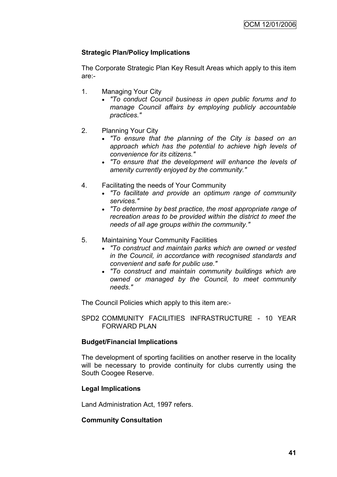# **Strategic Plan/Policy Implications**

The Corporate Strategic Plan Key Result Areas which apply to this item are:-

- 1. Managing Your City
	- *"To conduct Council business in open public forums and to manage Council affairs by employing publicly accountable practices."*
- 2. Planning Your City
	- *"To ensure that the planning of the City is based on an approach which has the potential to achieve high levels of convenience for its citizens."*
	- *"To ensure that the development will enhance the levels of amenity currently enjoyed by the community."*
- 4. Facilitating the needs of Your Community
	- *"To facilitate and provide an optimum range of community services."*
	- *"To determine by best practice, the most appropriate range of recreation areas to be provided within the district to meet the needs of all age groups within the community."*
- 5. Maintaining Your Community Facilities
	- *"To construct and maintain parks which are owned or vested in the Council, in accordance with recognised standards and convenient and safe for public use."*
	- *"To construct and maintain community buildings which are owned or managed by the Council, to meet community needs."*

The Council Policies which apply to this item are:-

SPD2 COMMUNITY FACILITIES INFRASTRUCTURE - 10 YEAR FORWARD PLAN

## **Budget/Financial Implications**

The development of sporting facilities on another reserve in the locality will be necessary to provide continuity for clubs currently using the South Coogee Reserve.

## **Legal Implications**

Land Administration Act, 1997 refers.

## **Community Consultation**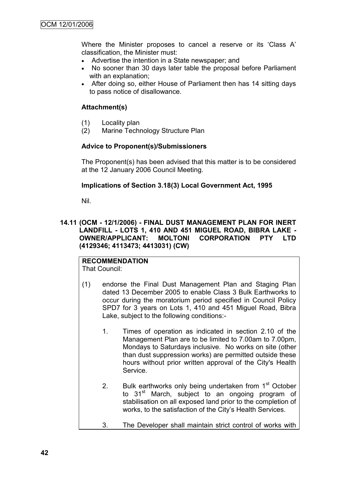Where the Minister proposes to cancel a reserve or its "Class A" classification, the Minister must:

- Advertise the intention in a State newspaper; and
- No sooner than 30 days later table the proposal before Parliament with an explanation;
- After doing so, either House of Parliament then has 14 sitting days to pass notice of disallowance.

# **Attachment(s)**

- (1) Locality plan
- (2) Marine Technology Structure Plan

## **Advice to Proponent(s)/Submissioners**

The Proponent(s) has been advised that this matter is to be considered at the 12 January 2006 Council Meeting.

# **Implications of Section 3.18(3) Local Government Act, 1995**

Nil.

# **14.11 (OCM - 12/1/2006) - FINAL DUST MANAGEMENT PLAN FOR INERT LANDFILL - LOTS 1, 410 AND 451 MIGUEL ROAD, BIBRA LAKE - OWNER/APPLICANT: MOLTONI CORPORATION PTY LTD (4129346; 4113473; 4413031) (CW)**

# **RECOMMENDATION**

That Council:

- (1) endorse the Final Dust Management Plan and Staging Plan dated 13 December 2005 to enable Class 3 Bulk Earthworks to occur during the moratorium period specified in Council Policy SPD7 for 3 years on Lots 1, 410 and 451 Miguel Road, Bibra Lake, subject to the following conditions:-
	- 1. Times of operation as indicated in section 2.10 of the Management Plan are to be limited to 7.00am to 7.00pm, Mondays to Saturdays inclusive. No works on site (other than dust suppression works) are permitted outside these hours without prior written approval of the City's Health Service.
	- 2. Bulk earthworks only being undertaken from  $1<sup>st</sup>$  October to 31<sup>st</sup> March, subject to an ongoing program of stabilisation on all exposed land prior to the completion of works, to the satisfaction of the City"s Health Services.
	- 3. The Developer shall maintain strict control of works with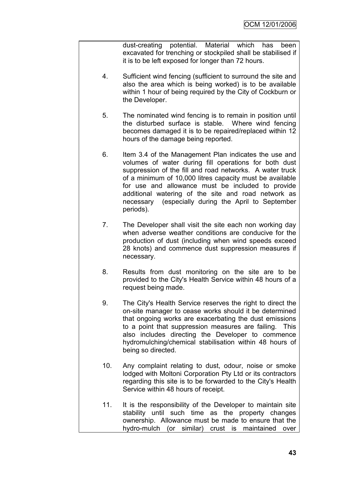dust-creating potential. Material which has been excavated for trenching or stockpiled shall be stabilised if it is to be left exposed for longer than 72 hours.

- 4. Sufficient wind fencing (sufficient to surround the site and also the area which is being worked) is to be available within 1 hour of being required by the City of Cockburn or the Developer.
- 5. The nominated wind fencing is to remain in position until the disturbed surface is stable. Where wind fencing becomes damaged it is to be repaired/replaced within 12 hours of the damage being reported.
- 6. Item 3.4 of the Management Plan indicates the use and volumes of water during fill operations for both dust suppression of the fill and road networks. A water truck of a minimum of 10,000 litres capacity must be available for use and allowance must be included to provide additional watering of the site and road network as necessary (especially during the April to September periods).
- 7. The Developer shall visit the site each non working day when adverse weather conditions are conducive for the production of dust (including when wind speeds exceed 28 knots) and commence dust suppression measures if necessary.
- 8. Results from dust monitoring on the site are to be provided to the City's Health Service within 48 hours of a request being made.
- 9. The City's Health Service reserves the right to direct the on-site manager to cease works should it be determined that ongoing works are exacerbating the dust emissions to a point that suppression measures are failing. This also includes directing the Developer to commence hydromulching/chemical stabilisation within 48 hours of being so directed.
- 10. Any complaint relating to dust, odour, noise or smoke lodged with Moltoni Corporation Pty Ltd or its contractors regarding this site is to be forwarded to the City's Health Service within 48 hours of receipt.
- 11. It is the responsibility of the Developer to maintain site stability until such time as the property changes ownership. Allowance must be made to ensure that the hydro-mulch (or similar) crust is maintained over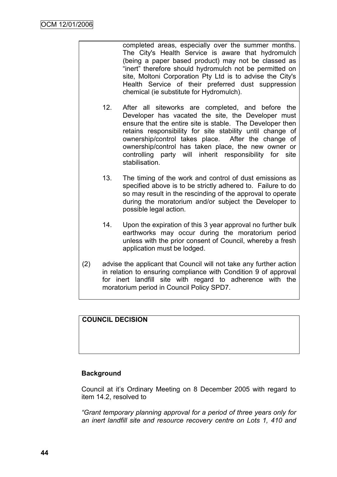completed areas, especially over the summer months. The City's Health Service is aware that hydromulch (being a paper based product) may not be classed as "inert" therefore should hydromulch not be permitted on site, Moltoni Corporation Pty Ltd is to advise the City's Health Service of their preferred dust suppression chemical (ie substitute for Hydromulch).

- 12. After all siteworks are completed, and before the Developer has vacated the site, the Developer must ensure that the entire site is stable. The Developer then retains responsibility for site stability until change of ownership/control takes place. After the change of ownership/control has taken place, the new owner or controlling party will inherit responsibility for site stabilisation.
- 13. The timing of the work and control of dust emissions as specified above is to be strictly adhered to. Failure to do so may result in the rescinding of the approval to operate during the moratorium and/or subject the Developer to possible legal action.
- 14. Upon the expiration of this 3 year approval no further bulk earthworks may occur during the moratorium period unless with the prior consent of Council, whereby a fresh application must be lodged.
- (2) advise the applicant that Council will not take any further action in relation to ensuring compliance with Condition 9 of approval for inert landfill site with regard to adherence with the moratorium period in Council Policy SPD7.

# **COUNCIL DECISION**

## **Background**

Council at it"s Ordinary Meeting on 8 December 2005 with regard to item 14.2, resolved to

*"Grant temporary planning approval for a period of three years only for an inert landfill site and resource recovery centre on Lots 1, 410 and*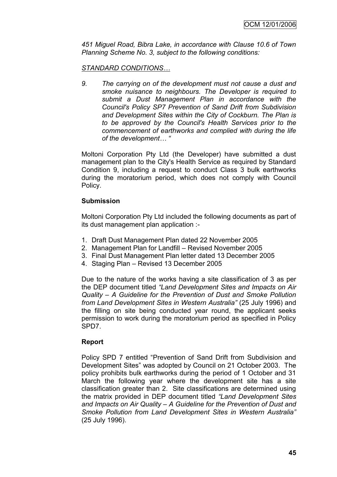*451 Miguel Road, Bibra Lake, in accordance with Clause 10.6 of Town Planning Scheme No. 3, subject to the following conditions:*

# *STANDARD CONDITIONS…*

*9. The carrying on of the development must not cause a dust and smoke nuisance to neighbours. The Developer is required to submit a Dust Management Plan in accordance with the Council's Policy SP7 Prevention of Sand Drift from Subdivision and Development Sites within the City of Cockburn. The Plan is to be approved by the Council's Health Services prior to the commencement of earthworks and complied with during the life of the development… "*

Moltoni Corporation Pty Ltd (the Developer) have submitted a dust management plan to the City's Health Service as required by Standard Condition 9, including a request to conduct Class 3 bulk earthworks during the moratorium period, which does not comply with Council Policy.

## **Submission**

Moltoni Corporation Pty Ltd included the following documents as part of its dust management plan application :-

- 1. Draft Dust Management Plan dated 22 November 2005
- 2. Management Plan for Landfill Revised November 2005
- 3. Final Dust Management Plan letter dated 13 December 2005
- 4. Staging Plan Revised 13 December 2005

Due to the nature of the works having a site classification of 3 as per the DEP document titled *"Land Development Sites and Impacts on Air Quality – A Guideline for the Prevention of Dust and Smoke Pollution from Land Development Sites in Western Australia"* (25 July 1996) and the filling on site being conducted year round, the applicant seeks permission to work during the moratorium period as specified in Policy SPD7.

## **Report**

Policy SPD 7 entitled "Prevention of Sand Drift from Subdivision and Development Sites" was adopted by Council on 21 October 2003. The policy prohibits bulk earthworks during the period of 1 October and 31 March the following year where the development site has a site classification greater than 2. Site classifications are determined using the matrix provided in DEP document titled *"Land Development Sites and Impacts on Air Quality – A Guideline for the Prevention of Dust and Smoke Pollution from Land Development Sites in Western Australia"*  (25 July 1996).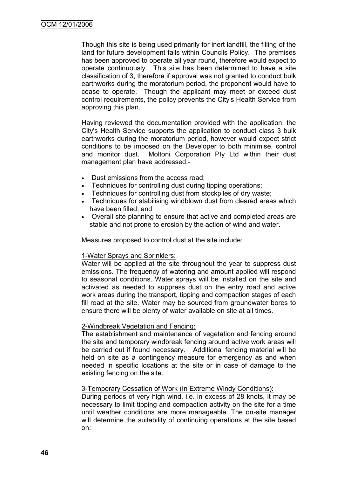Though this site is being used primarily for inert landfill, the filling of the land for future development falls within Councils Policy. The premises has been approved to operate all year round, therefore would expect to operate continuously. This site has been determined to have a site classification of 3, therefore if approval was not granted to conduct bulk earthworks during the moratorium period, the proponent would have to cease to operate. Though the applicant may meet or exceed dust control requirements, the policy prevents the City's Health Service from approving this plan.

Having reviewed the documentation provided with the application, the City's Health Service supports the application to conduct class 3 bulk earthworks during the moratorium period, however would expect strict conditions to be imposed on the Developer to both minimise, control and monitor dust. Moltoni Corporation Pty Ltd within their dust management plan have addressed:-

- Dust emissions from the access road;
- Techniques for controlling dust during tipping operations;
- Techniques for controlling dust from stockpiles of dry waste;
- Techniques for stabilising windblown dust from cleared areas which have been filled; and
- Overall site planning to ensure that active and completed areas are stable and not prone to erosion by the action of wind and water.

Measures proposed to control dust at the site include:

## 1-Water Sprays and Sprinklers:

Water will be applied at the site throughout the year to suppress dust emissions. The frequency of watering and amount applied will respond to seasonal conditions. Water sprays will be installed on the site and activated as needed to suppress dust on the entry road and active work areas during the transport, tipping and compaction stages of each fill road at the site. Water may be sourced from groundwater bores to ensure there will be plenty of water available on site at all times.

## 2-Windbreak Vegetation and Fencing:

The establishment and maintenance of vegetation and fencing around the site and temporary windbreak fencing around active work areas will be carried out if found necessary. Additional fencing material will be held on site as a contingency measure for emergency as and when needed in specific locations at the site or in case of damage to the existing fencing on the site.

## 3-Temporary Cessation of Work (In Extreme Windy Conditions):

During periods of very high wind, i.e. in excess of 28 knots, it may be necessary to limit tipping and compaction activity on the site for a time until weather conditions are more manageable. The on-site manager will determine the suitability of continuing operations at the site based on: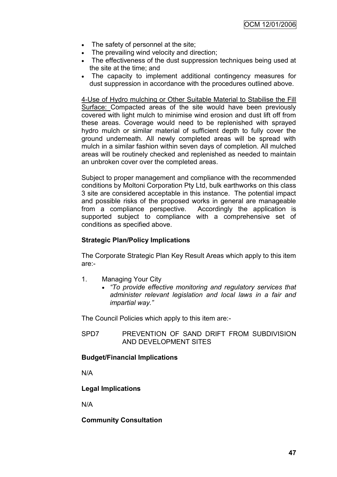- The safety of personnel at the site;
- The prevailing wind velocity and direction;
- The effectiveness of the dust suppression techniques being used at the site at the time; and
- The capacity to implement additional contingency measures for dust suppression in accordance with the procedures outlined above.

4-Use of Hydro mulching or Other Suitable Material to Stabilise the Fill Surface: Compacted areas of the site would have been previously covered with light mulch to minimise wind erosion and dust lift off from these areas. Coverage would need to be replenished with sprayed hydro mulch or similar material of sufficient depth to fully cover the ground underneath. All newly completed areas will be spread with mulch in a similar fashion within seven days of completion. All mulched areas will be routinely checked and replenished as needed to maintain an unbroken cover over the completed areas.

Subject to proper management and compliance with the recommended conditions by Moltoni Corporation Pty Ltd, bulk earthworks on this class 3 site are considered acceptable in this instance. The potential impact and possible risks of the proposed works in general are manageable from a compliance perspective. Accordingly the application is supported subject to compliance with a comprehensive set of conditions as specified above.

# **Strategic Plan/Policy Implications**

The Corporate Strategic Plan Key Result Areas which apply to this item are:-

- 1. Managing Your City
	- *"To provide effective monitoring and regulatory services that administer relevant legislation and local laws in a fair and impartial way."*

The Council Policies which apply to this item are:-

SPD7 PREVENTION OF SAND DRIFT FROM SUBDIVISION AND DEVELOPMENT SITES

## **Budget/Financial Implications**

N/A

## **Legal Implications**

N/A

## **Community Consultation**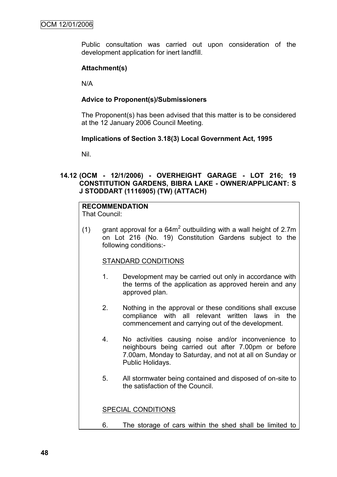Public consultation was carried out upon consideration of the development application for inert landfill.

# **Attachment(s)**

N/A

# **Advice to Proponent(s)/Submissioners**

The Proponent(s) has been advised that this matter is to be considered at the 12 January 2006 Council Meeting.

# **Implications of Section 3.18(3) Local Government Act, 1995**

Nil.

# **14.12 (OCM - 12/1/2006) - OVERHEIGHT GARAGE - LOT 216; 19 CONSTITUTION GARDENS, BIBRA LAKE - OWNER/APPLICANT: S J STODDART (1116905) (TW) (ATTACH)**

# **RECOMMENDATION**

That Council:

(1) grant approval for a  $64m^2$  outbuilding with a wall height of 2.7m on Lot 216 (No. 19) Constitution Gardens subject to the following conditions:-

## STANDARD CONDITIONS

- 1. Development may be carried out only in accordance with the terms of the application as approved herein and any approved plan.
- 2. Nothing in the approval or these conditions shall excuse compliance with all relevant written laws in the commencement and carrying out of the development.
- 4. No activities causing noise and/or inconvenience to neighbours being carried out after 7.00pm or before 7.00am, Monday to Saturday, and not at all on Sunday or Public Holidays.
- 5. All stormwater being contained and disposed of on-site to the satisfaction of the Council.

SPECIAL CONDITIONS

6. The storage of cars within the shed shall be limited to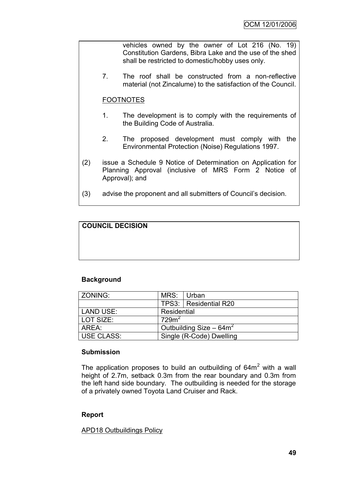vehicles owned by the owner of Lot 216 (No. 19) Constitution Gardens, Bibra Lake and the use of the shed shall be restricted to domestic/hobby uses only.

7. The roof shall be constructed from a non-reflective material (not Zincalume) to the satisfaction of the Council.

# FOOTNOTES

- 1. The development is to comply with the requirements of the Building Code of Australia.
- 2. The proposed development must comply with the Environmental Protection (Noise) Regulations 1997.
- (2) issue a Schedule 9 Notice of Determination on Application for Planning Approval (inclusive of MRS Form 2 Notice of Approval); and
- (3) advise the proponent and all submitters of Council"s decision.

# **COUNCIL DECISION**

## **Background**

| ZONING:           | MRS:                      | l Urban                 |  |  |
|-------------------|---------------------------|-------------------------|--|--|
|                   |                           | TPS3:   Residential R20 |  |  |
| LAND USE:         | Residential               |                         |  |  |
| LOT SIZE:         | 729 <sup>2</sup>          |                         |  |  |
| AREA:             | Outbuilding Size $-64m^2$ |                         |  |  |
| <b>USE CLASS:</b> | Single (R-Code) Dwelling  |                         |  |  |

## **Submission**

The application proposes to build an outbuilding of  $64m<sup>2</sup>$  with a wall height of 2.7m, setback 0.3m from the rear boundary and 0.3m from the left hand side boundary. The outbuilding is needed for the storage of a privately owned Toyota Land Cruiser and Rack.

## **Report**

## APD18 Outbuildings Policy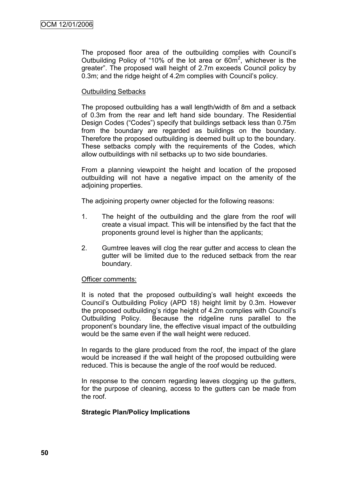The proposed floor area of the outbuilding complies with Council"s Outbuilding Policy of "10% of the lot area or  $60m^2$ , whichever is the greater". The proposed wall height of 2.7m exceeds Council policy by 0.3m; and the ridge height of 4.2m complies with Council's policy.

## Outbuilding Setbacks

The proposed outbuilding has a wall length/width of 8m and a setback of 0.3m from the rear and left hand side boundary. The Residential Design Codes ("Codes") specify that buildings setback less than 0.75m from the boundary are regarded as buildings on the boundary. Therefore the proposed outbuilding is deemed built up to the boundary. These setbacks comply with the requirements of the Codes, which allow outbuildings with nil setbacks up to two side boundaries.

From a planning viewpoint the height and location of the proposed outbuilding will not have a negative impact on the amenity of the adjoining properties.

The adjoining property owner objected for the following reasons:

- 1. The height of the outbuilding and the glare from the roof will create a visual impact. This will be intensified by the fact that the proponents ground level is higher than the applicants;
- 2. Gumtree leaves will clog the rear gutter and access to clean the gutter will be limited due to the reduced setback from the rear boundary.

#### Officer comments:

It is noted that the proposed outbuilding's wall height exceeds the Council"s Outbuilding Policy (APD 18) height limit by 0.3m. However the proposed outbuilding"s ridge height of 4.2m complies with Council"s Outbuilding Policy. Because the ridgeline runs parallel to the proponent"s boundary line, the effective visual impact of the outbuilding would be the same even if the wall height were reduced.

In regards to the glare produced from the roof, the impact of the glare would be increased if the wall height of the proposed outbuilding were reduced. This is because the angle of the roof would be reduced.

In response to the concern regarding leaves clogging up the gutters, for the purpose of cleaning, access to the gutters can be made from the roof.

## **Strategic Plan/Policy Implications**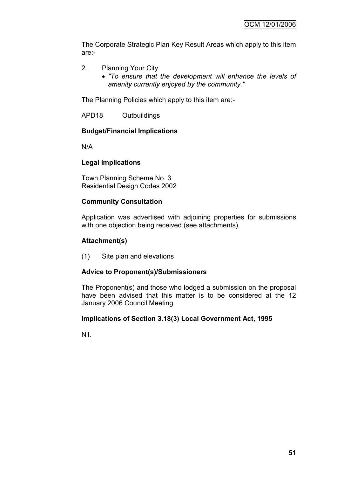The Corporate Strategic Plan Key Result Areas which apply to this item are:-

- 2. Planning Your City
	- *"To ensure that the development will enhance the levels of amenity currently enjoyed by the community."*

The Planning Policies which apply to this item are:-

APD18 Outbuildings

# **Budget/Financial Implications**

N/A

# **Legal Implications**

Town Planning Scheme No. 3 Residential Design Codes 2002

# **Community Consultation**

Application was advertised with adjoining properties for submissions with one objection being received (see attachments).

# **Attachment(s)**

(1) Site plan and elevations

# **Advice to Proponent(s)/Submissioners**

The Proponent(s) and those who lodged a submission on the proposal have been advised that this matter is to be considered at the 12 January 2006 Council Meeting.

## **Implications of Section 3.18(3) Local Government Act, 1995**

Nil.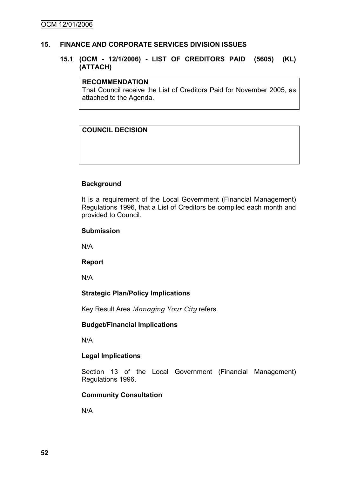# **15. FINANCE AND CORPORATE SERVICES DIVISION ISSUES**

# **15.1 (OCM - 12/1/2006) - LIST OF CREDITORS PAID (5605) (KL) (ATTACH)**

#### **RECOMMENDATION**

That Council receive the List of Creditors Paid for November 2005, as attached to the Agenda.

# **COUNCIL DECISION**

# **Background**

It is a requirement of the Local Government (Financial Management) Regulations 1996, that a List of Creditors be compiled each month and provided to Council.

## **Submission**

N/A

## **Report**

N/A

# **Strategic Plan/Policy Implications**

Key Result Area *Managing Your City* refers.

# **Budget/Financial Implications**

N/A

## **Legal Implications**

Section 13 of the Local Government (Financial Management) Regulations 1996.

## **Community Consultation**

N/A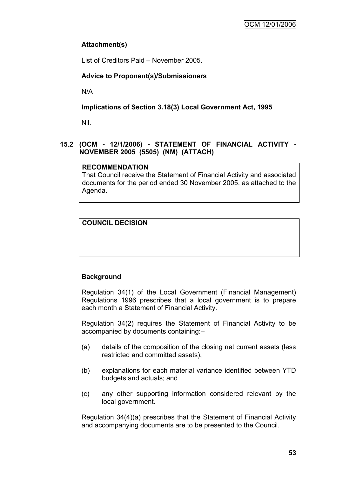# **Attachment(s)**

List of Creditors Paid – November 2005.

# **Advice to Proponent(s)/Submissioners**

N/A

# **Implications of Section 3.18(3) Local Government Act, 1995**

Nil.

# **15.2 (OCM - 12/1/2006) - STATEMENT OF FINANCIAL ACTIVITY - NOVEMBER 2005 (5505) (NM) (ATTACH)**

# **RECOMMENDATION**

That Council receive the Statement of Financial Activity and associated documents for the period ended 30 November 2005, as attached to the Agenda.

# **COUNCIL DECISION**

# **Background**

Regulation 34(1) of the Local Government (Financial Management) Regulations 1996 prescribes that a local government is to prepare each month a Statement of Financial Activity.

Regulation 34(2) requires the Statement of Financial Activity to be accompanied by documents containing:–

- (a) details of the composition of the closing net current assets (less restricted and committed assets),
- (b) explanations for each material variance identified between YTD budgets and actuals; and
- (c) any other supporting information considered relevant by the local government.

Regulation 34(4)(a) prescribes that the Statement of Financial Activity and accompanying documents are to be presented to the Council.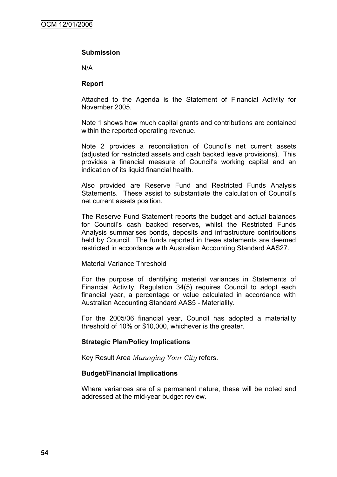#### **Submission**

N/A

#### **Report**

Attached to the Agenda is the Statement of Financial Activity for November 2005.

Note 1 shows how much capital grants and contributions are contained within the reported operating revenue.

Note 2 provides a reconciliation of Council's net current assets (adjusted for restricted assets and cash backed leave provisions). This provides a financial measure of Council"s working capital and an indication of its liquid financial health.

Also provided are Reserve Fund and Restricted Funds Analysis Statements. These assist to substantiate the calculation of Council"s net current assets position.

The Reserve Fund Statement reports the budget and actual balances for Council"s cash backed reserves, whilst the Restricted Funds Analysis summarises bonds, deposits and infrastructure contributions held by Council. The funds reported in these statements are deemed restricted in accordance with Australian Accounting Standard AAS27.

#### Material Variance Threshold

For the purpose of identifying material variances in Statements of Financial Activity, Regulation 34(5) requires Council to adopt each financial year, a percentage or value calculated in accordance with Australian Accounting Standard AAS5 - Materiality.

For the 2005/06 financial year, Council has adopted a materiality threshold of 10% or \$10,000, whichever is the greater.

## **Strategic Plan/Policy Implications**

Key Result Area *Managing Your City* refers.

#### **Budget/Financial Implications**

Where variances are of a permanent nature, these will be noted and addressed at the mid-year budget review.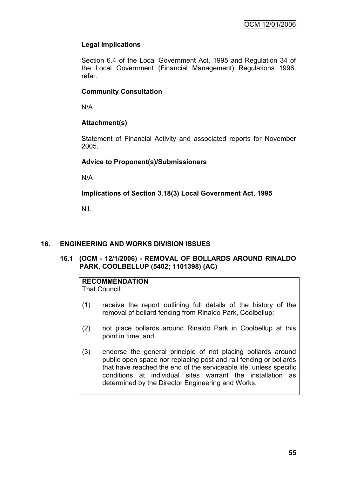# **Legal Implications**

Section 6.4 of the Local Government Act, 1995 and Regulation 34 of the Local Government (Financial Management) Regulations 1996, refer.

# **Community Consultation**

N/A

# **Attachment(s)**

Statement of Financial Activity and associated reports for November 2005.

# **Advice to Proponent(s)/Submissioners**

N/A

# **Implications of Section 3.18(3) Local Government Act, 1995**

Nil.

# **16. ENGINEERING AND WORKS DIVISION ISSUES**

**16.1 (OCM - 12/1/2006) - REMOVAL OF BOLLARDS AROUND RINALDO PARK, COOLBELLUP (5402; 1101398) (AC)**

# **RECOMMENDATION**

That Council:

- (1) receive the report outlining full details of the history of the removal of bollard fencing from Rinaldo Park, Coolbellup;
- (2) not place bollards around Rinaldo Park in Coolbellup at this point in time; and
- (3) endorse the general principle of not placing bollards around public open space nor replacing post and rail fencing or bollards that have reached the end of the serviceable life, unless specific conditions at individual sites warrant the installation as determined by the Director Engineering and Works.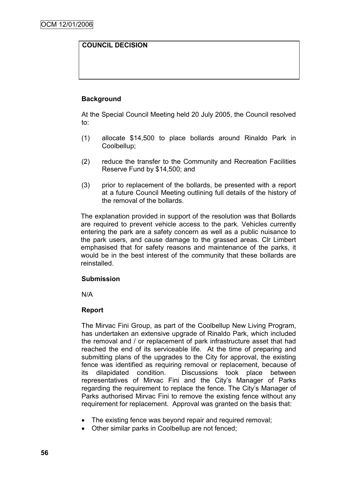# **COUNCIL DECISION**

# **Background**

At the Special Council Meeting held 20 July 2005, the Council resolved to:

- (1) allocate \$14,500 to place bollards around Rinaldo Park in Coolbellup;
- (2) reduce the transfer to the Community and Recreation Facilities Reserve Fund by \$14,500; and
- (3) prior to replacement of the bollards, be presented with a report at a future Council Meeting outlining full details of the history of the removal of the bollards.

The explanation provided in support of the resolution was that Bollards are required to prevent vehicle access to the park. Vehicles currently entering the park are a safety concern as well as a public nuisance to the park users, and cause damage to the grassed areas. Clr Limbert emphasised that for safety reasons and maintenance of the parks, it would be in the best interest of the community that these bollards are reinstalled.

#### **Submission**

N/A

## **Report**

The Mirvac Fini Group, as part of the Coolbellup New Living Program, has undertaken an extensive upgrade of Rinaldo Park, which included the removal and / or replacement of park infrastructure asset that had reached the end of its serviceable life. At the time of preparing and submitting plans of the upgrades to the City for approval, the existing fence was identified as requiring removal or replacement, because of its dilapidated condition. Discussions took place between representatives of Mirvac Fini and the City"s Manager of Parks regarding the requirement to replace the fence. The City"s Manager of Parks authorised Mirvac Fini to remove the existing fence without any requirement for replacement. Approval was granted on the basis that:

- The existing fence was beyond repair and required removal;
- Other similar parks in Coolbellup are not fenced;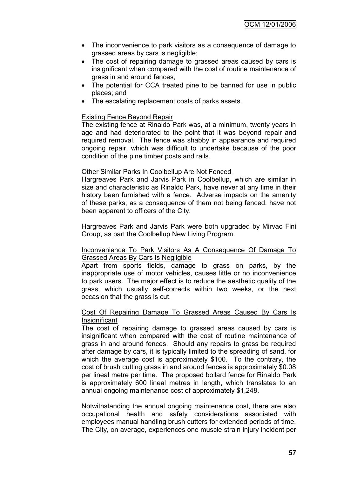- The inconvenience to park visitors as a consequence of damage to grassed areas by cars is negligible;
- The cost of repairing damage to grassed areas caused by cars is insignificant when compared with the cost of routine maintenance of grass in and around fences;
- The potential for CCA treated pine to be banned for use in public places; and
- The escalating replacement costs of parks assets.

#### Existing Fence Beyond Repair

The existing fence at Rinaldo Park was, at a minimum, twenty years in age and had deteriorated to the point that it was beyond repair and required removal. The fence was shabby in appearance and required ongoing repair, which was difficult to undertake because of the poor condition of the pine timber posts and rails.

#### Other Similar Parks In Coolbellup Are Not Fenced

Hargreaves Park and Jarvis Park in Coolbellup, which are similar in size and characteristic as Rinaldo Park, have never at any time in their history been furnished with a fence. Adverse impacts on the amenity of these parks, as a consequence of them not being fenced, have not been apparent to officers of the City.

Hargreaves Park and Jarvis Park were both upgraded by Mirvac Fini Group, as part the Coolbellup New Living Program.

#### Inconvenience To Park Visitors As A Consequence Of Damage To Grassed Areas By Cars Is Negligible

Apart from sports fields, damage to grass on parks, by the inappropriate use of motor vehicles, causes little or no inconvenience to park users. The major effect is to reduce the aesthetic quality of the grass, which usually self-corrects within two weeks, or the next occasion that the grass is cut.

#### Cost Of Repairing Damage To Grassed Areas Caused By Cars Is **Insignificant**

The cost of repairing damage to grassed areas caused by cars is insignificant when compared with the cost of routine maintenance of grass in and around fences. Should any repairs to grass be required after damage by cars, it is typically limited to the spreading of sand, for which the average cost is approximately \$100. To the contrary, the cost of brush cutting grass in and around fences is approximately \$0.08 per lineal metre per time. The proposed bollard fence for Rinaldo Park is approximately 600 lineal metres in length, which translates to an annual ongoing maintenance cost of approximately \$1,248.

Notwithstanding the annual ongoing maintenance cost, there are also occupational health and safety considerations associated with employees manual handling brush cutters for extended periods of time. The City, on average, experiences one muscle strain injury incident per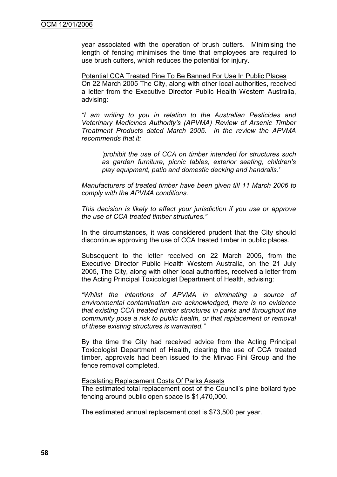year associated with the operation of brush cutters. Minimising the length of fencing minimises the time that employees are required to use brush cutters, which reduces the potential for injury.

Potential CCA Treated Pine To Be Banned For Use In Public Places On 22 March 2005 The City, along with other local authorities, received a letter from the Executive Director Public Health Western Australia, advising:

*"I am writing to you in relation to the Australian Pesticides and Veterinary Medicines Authority"s (APVMA) Review of Arsenic Timber Treatment Products dated March 2005. In the review the APVMA recommends that it:*

*"prohibit the use of CCA on timber intended for structures such as garden furniture, picnic tables, exterior seating, children"s play equipment, patio and domestic decking and handrails."*

*Manufacturers of treated timber have been given till 11 March 2006 to comply with the APVMA conditions.*

*This decision is likely to affect your jurisdiction if you use or approve the use of CCA treated timber structures."*

In the circumstances, it was considered prudent that the City should discontinue approving the use of CCA treated timber in public places.

Subsequent to the letter received on 22 March 2005, from the Executive Director Public Health Western Australia, on the 21 July 2005, The City, along with other local authorities, received a letter from the Acting Principal Toxicologist Department of Health, advising:

*"Whilst the intentions of APVMA in eliminating a source of environmental contamination are acknowledged, there is no evidence that existing CCA treated timber structures in parks and throughout the community pose a risk to public health, or that replacement or removal of these existing structures is warranted."*

By the time the City had received advice from the Acting Principal Toxicologist Department of Health, clearing the use of CCA treated timber, approvals had been issued to the Mirvac Fini Group and the fence removal completed.

#### Escalating Replacement Costs Of Parks Assets

The estimated total replacement cost of the Council"s pine bollard type fencing around public open space is \$1,470,000.

The estimated annual replacement cost is \$73,500 per year.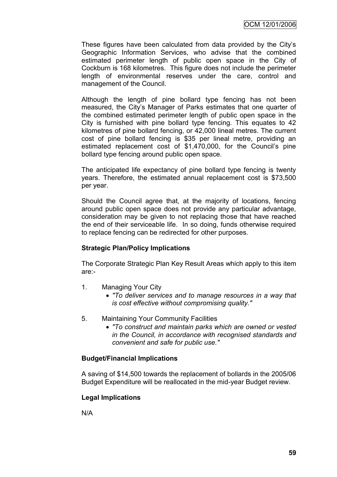These figures have been calculated from data provided by the City"s Geographic Information Services, who advise that the combined estimated perimeter length of public open space in the City of Cockburn is 168 kilometres. This figure does not include the perimeter length of environmental reserves under the care, control and management of the Council.

Although the length of pine bollard type fencing has not been measured, the City"s Manager of Parks estimates that one quarter of the combined estimated perimeter length of public open space in the City is furnished with pine bollard type fencing. This equates to 42 kilometres of pine bollard fencing, or 42,000 lineal metres. The current cost of pine bollard fencing is \$35 per lineal metre, providing an estimated replacement cost of \$1,470,000, for the Council's pine bollard type fencing around public open space.

The anticipated life expectancy of pine bollard type fencing is twenty years. Therefore, the estimated annual replacement cost is \$73,500 per year.

Should the Council agree that, at the majority of locations, fencing around public open space does not provide any particular advantage, consideration may be given to not replacing those that have reached the end of their serviceable life. In so doing, funds otherwise required to replace fencing can be redirected for other purposes.

## **Strategic Plan/Policy Implications**

The Corporate Strategic Plan Key Result Areas which apply to this item are:-

- 1. Managing Your City
	- *"To deliver services and to manage resources in a way that is cost effective without compromising quality."*
- 5. Maintaining Your Community Facilities
	- *"To construct and maintain parks which are owned or vested in the Council, in accordance with recognised standards and convenient and safe for public use."*

## **Budget/Financial Implications**

A saving of \$14,500 towards the replacement of bollards in the 2005/06 Budget Expenditure will be reallocated in the mid-year Budget review.

# **Legal Implications**

N/A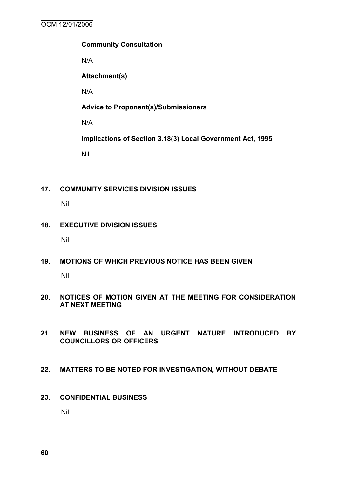## **Community Consultation**

N/A

**Attachment(s)**

N/A

**Advice to Proponent(s)/Submissioners**

N/A

**Implications of Section 3.18(3) Local Government Act, 1995**

Nil.

# **17. COMMUNITY SERVICES DIVISION ISSUES**

Nil

# **18. EXECUTIVE DIVISION ISSUES**

Nil

**19. MOTIONS OF WHICH PREVIOUS NOTICE HAS BEEN GIVEN**

Nil

- **20. NOTICES OF MOTION GIVEN AT THE MEETING FOR CONSIDERATION AT NEXT MEETING**
- **21. NEW BUSINESS OF AN URGENT NATURE INTRODUCED BY COUNCILLORS OR OFFICERS**

# **22. MATTERS TO BE NOTED FOR INVESTIGATION, WITHOUT DEBATE**

**23. CONFIDENTIAL BUSINESS**

Nil